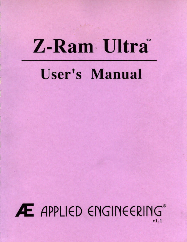# Z-Ram Ultra

# **User's Manual**

# Æ APPLIED ENGINEERING®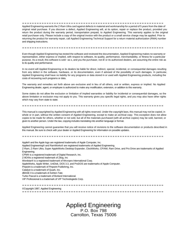Applied Engineering warrants the Z-Ram Ultra card against defects in material and workmanship for a period of 5 years from the date of original retail purchase. If you discover a defect, Applied Engineering will, at its option, repair or replace the product, provided you return the product during the warranty period, transportation prepaid, to Applied Engineering. This warranty applies to the original retail purchaser only. Please include a copy of the original invoice with the product or a small service charge may be applied. Prior to returning the product for warranty repair, call Applied Engineering Technical Support for a return material authorization (RMA) number and shipping instructions.

Even though Applied Engineering has tested the software and reviewed the documentation, Applied Engineering makes no warranty or representation, either express or implied, with respect to software, its quality, performance, merchantability, or fitness for a particular purpose. As a result, this software is sold ~as s, and you the purchaser, not *IE* or its authorized dealers, are assuming the entire risk as to its quality and performance.

In no event will Applied Engineering or its dealers be liable for direct, indirect, special, incidental, or consequential damages resulting from any defect in the software, hardware, or its documentation, even if advised of the possibility of such damages. In particular, Applied Engineering shall have no liability for any programs or data stored in or used with Applied Engineering products, including the costs of recovering such programs or data.

The warranty and remedies set forth above are exclusive and in lieu of all others, oral or written, express or implied. No Applied Engineering dealer, agent, or employee is authorized to make any modification, extension, or addition to this warranty.

Some states do not allow the exclusion or limitation of implied warranties or liability for incidental or consequential damages, so the above limitation or exclusion may not apply to you. This warranty gives you specific legal rights, and you may also have other rights which may vary from state to state.

This manual is copyrighted by Applied Engineering with all rights reserved. Under the copyright laws, this manual may not be copied, in whole or in part, without the written consent of Applied Engineering, except to make an archival copy. This exception does not allow copies to be made for others, whether or not sold, but all of the materials purchased (with all archive copies) may be sold, banned, or given to another person. Under the law, copying includes translating into another language or format.

Applied Engineering cannot guarantee that you will receive notice of revisions to the software documentation or products described in this manual. Be sure to check with your dealer or Applied Engineering for information on posable updates.

Apple® and the Apple logo are registered trademarks of Apple Computer, Inc. Applied Engineering® and RamWorks® are registered trademarks of Applied Engineering. Z-Ram, Z-Ram Ultra, Super AppleWorks Desktop Expander, ClockWorks, CP/AM, Ram Drive, and Pro Drive are trademarks of Applied Engineering. CPM® is a registered trademark of Digital Research, Inc. Z-8O®is a registered trademark of Zilog, Inc Wordstar® is a registered trademark of Mrcropro International Corp. AppleWorks, Apple Writer, UniDisk, DOS 3.3, and ProDOS are trademarks of Apple Computer. Pinpoint is a trademark of Pinpoint Publishmg, Inc. Catalyst is a trademark of Quark, Inc. dBASE II is a trademark of Ashton-Tate. Turbo Pascal is a trademark of Borland International. VIP Professional is a trademark of VIP Technologieds Corp.

©Copyright 1987, Applied Engineering

## Applied Engineering P.O. Box 798 Carrolton, Texas 75006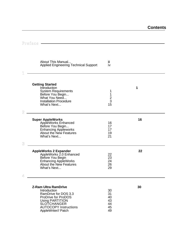| iii<br>iv                                                                                                                                                                                                                                                                                                                                                                                                                                                                                                                                                                                                                                                                                                                                                                                                         |    |
|-------------------------------------------------------------------------------------------------------------------------------------------------------------------------------------------------------------------------------------------------------------------------------------------------------------------------------------------------------------------------------------------------------------------------------------------------------------------------------------------------------------------------------------------------------------------------------------------------------------------------------------------------------------------------------------------------------------------------------------------------------------------------------------------------------------------|----|
|                                                                                                                                                                                                                                                                                                                                                                                                                                                                                                                                                                                                                                                                                                                                                                                                                   |    |
| 1<br>$\frac{1}{2}$<br>15                                                                                                                                                                                                                                                                                                                                                                                                                                                                                                                                                                                                                                                                                                                                                                                          | 1  |
|                                                                                                                                                                                                                                                                                                                                                                                                                                                                                                                                                                                                                                                                                                                                                                                                                   |    |
| 16<br>17<br>17<br>19<br>21                                                                                                                                                                                                                                                                                                                                                                                                                                                                                                                                                                                                                                                                                                                                                                                        | 16 |
| 22<br>23<br>24<br>26<br>29                                                                                                                                                                                                                                                                                                                                                                                                                                                                                                                                                                                                                                                                                                                                                                                        | 22 |
|                                                                                                                                                                                                                                                                                                                                                                                                                                                                                                                                                                                                                                                                                                                                                                                                                   |    |
| 30<br>31<br>40<br>43<br>44<br>45                                                                                                                                                                                                                                                                                                                                                                                                                                                                                                                                                                                                                                                                                                                                                                                  | 30 |
| About This Manual<br><b>Applied Engineering Technical Support</b><br><b>System Requirements</b><br>Before You Begin<br>What You Need<br><b>Installation Procedure</b><br>What's Next<br>$\mathcal{L}^{\text{max}}_{\text{max}}$ and $\mathcal{L}^{\text{max}}_{\text{max}}$ and $\mathcal{L}^{\text{max}}_{\text{max}}$<br><b>Super AppleWorks</b><br>AppleWorks Enhanced<br>Before You Begin<br><b>Enhancing Appleworks</b><br><b>About the New Features</b><br>What's Next<br><b>AppleWorks 2 Expander</b><br>AppleWorks 2.0 Enhanced<br>Before You Begin<br>Enhancing AppleWorks<br>About the New Features<br>What's Next<br><b>Z-Ram Ultra RamDrive</b><br>RamDrive for DOS 3.3<br>ProDrive for ProDOS<br><b>Using PARTITION</b><br><b>SLOTCHANGER</b><br><b>AUTOCOPY Instructions</b><br>AppleWriter// Patch | 49 |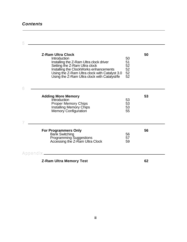## *Contents*

| 5                       |                                                                                                                                                                                                                                                                 |                                  |    |
|-------------------------|-----------------------------------------------------------------------------------------------------------------------------------------------------------------------------------------------------------------------------------------------------------------|----------------------------------|----|
| 6                       | <b>Z-Ram Ultra Clock</b><br>Introduction<br>Installing the Z-Ram Ultra clock driver<br>Setting the Z-Ram Ultra clock<br>Installing the ClockWorks enhancements<br>Using the Z-Ram Ultra clock with Catalyst 3.0<br>Using the Z-Ram Ultra clock with Catalyst/fe | 50<br>51<br>52<br>52<br>52<br>52 | 50 |
|                         | <b>Adding More Memory</b>                                                                                                                                                                                                                                       |                                  | 53 |
|                         | <b>Introduction</b><br><b>Proper Memory Chips</b><br><b>Installing Memory Chips</b><br><b>Memory Configuration</b>                                                                                                                                              | 53<br>53<br>53<br>55             |    |
| $\overline{\mathbb{Z}}$ |                                                                                                                                                                                                                                                                 |                                  |    |
|                         | <b>For Programmers Only</b><br><b>Bank Switching</b><br>Programming Suggestions<br>Accessing the Z-Ram Ultra Clock                                                                                                                                              | 56<br>57<br>59                   | 56 |
|                         | Appendix _________________________                                                                                                                                                                                                                              |                                  |    |
|                         | <b>Z-Ram Ultra Memory Test</b>                                                                                                                                                                                                                                  |                                  | 62 |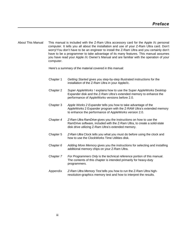<span id="page-4-0"></span>About This Manual This manual is included with the Z-Ram Ultra accessory card for the Apple //c personal computer. It tells you all about the installation and use of your Z-Ram Ultra card. Don't worry! You don't have to be an engineer to install the Z-Ram Ultra and you certainly don't have to be a programmer to take advantage of its many features. This manual assumes you have read your Apple //c Owner's Manual and are familiar with the operation of your computer.

Here's a summary of the material covered in this manual:

- Chapter 1 *Getting Started* gives you step-by-step illustrated instructions for the installation of the Z-Ram Ultra in your Apple//c.
- Chapter 2 *Super AppleWorks* ! explain*s* how to use the Super AppleWorks Desktop Expander disk and the Z-Ram Ultra's extended memory to enhance the performance of AppleWorks versions before 2.0.
- Chapter 3 *Apple Works 2 Expander* tells you how to take advantage of the AppleWorks 2 Expander program with the Z-RAM Ultra's extended memory to enhance the performance of AppleWorks version 2.0.
- Chapter *4 Z-Ram Ultra RamDrive* gives you the instructions on how to use the RamDrive software, included with the Z-Ram Ultra, to create a solid-state disk drive utilizing Z-Ram Ultra's extended memory.
- Chapter 5 *Z-Ram Ultra* Clock tells you what you must do before using the clock and how to use the ClockWorks Time Utilities disk.
- Chapter *6 Adding More Memory* gives you the instructions for selecting and installing additional memory chips on your Z-Ram Ultra.
- Chapter *7 For Programmers Only* is the technical reference portion of this manual. The contents of this chapter is intended primarily for heavy-duty programmers.
- Appendix *Z-Ram Ultra Memory Test* tells you how to run the Z-Ram Ultra highresolution-graphics memory test and how to interpret the results.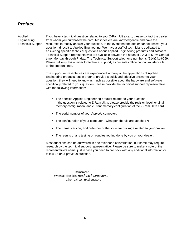<span id="page-5-0"></span>Applied If you have a technical question relating to your Z-Ram Ultra card, please contact the dealer Engineering from whom you purchased the card. Most dealers are knowledgeable and have the Technical Support resources to readily answer your question. In the event that the dealer cannot answer your question, direct it to Applied Engineering. We have a staff of technicians dedicated to answering specific technical questions about Applied Engineering products and software. Technical Support representatives are available between the hours of 9 AM to 5 PM Central time, Monday through Friday. The Technical Support telephone number is (214)241-6069. Please call only this number for technical support, as our sales office cannot transfer calls to the support lines.

> The support representatives are experienced in many of the applications of Applied Engineering products, but in order to provide a quick and effective answer to your question, they will need to know as much as possible about the hardware and software specifically related to your question. Please provide the technical support representative with the following information:

- The specific Applied Engineering product related to your question. If the question is related to Z-Ram Ultra, please provide the revision level, original memory configuration, and current memory configuration of the Z-Ram Ultra card.
- The serial number of your Apple//c computer.
- The configuration of your computer. (What peripherals are attached?)
- The name, version, and publisher of the software package related to your problem.
- The results of any testing or troubleshooting done by you or your dealer.

Most questions can be answered in one telephone conversation, but some may require research by the technical support representative. Please be sure to make a note of the representative's name, just in case you need to call back with any additional information or follow-up on a previous question.

 Remember: When all else fails, *read the instructions!* ...then call technical support.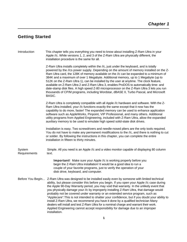## <span id="page-6-0"></span>**Getting Started**

Introduction This chapter tells you everything you need to know about installing Z-Ram Ultra in your Apple //c. While versions 1, 2, and 3 of the Z-Ram Ultra are physically different, the installation procedure is the same for all.

> Z-Ram Ultra installs completely within the //c, just under the keyboard, and is totally powered by the //cs power supply. Depending on the amount of memory installed on the Z-Ram Ultra card, the 128K of memory available on the //c can be expanded to a minimum of 384K and a maximum of over 1 Megabyte. Additional memory, up to 1 Megabyte (up to 512K on the Z-Ram Ultra 1), can be installed by the user at anytime. The clock feature, available on Z-Ram Ultra 2 and Z-Ram Ultra 3, enables ProDOS to automatically time- and date-stamp disk files. A high speed Z-80 microprocessor on the Z-Ram Ultra 3 lets you run thousands of CP/M programs, including Wordstar, dBASE II, Turbo Pascal, and Microsoft BASIC.

Z-Ram Ultra is completely compatible with all Apple //c hardware and software. With the Z-Ram Ultra installed, your //c functions exactly the same except that it now has the capability to do more, faster! The expanded memory can be used to enhance application software such as AppleWorks, Pinpoint, VIP Professional, and many others. Additional utility programs from Applied Engineering, included with Z-Ram Ultra, allow the expanded auxiliary memory to be used to emulate high speed solid-state disk drives.

Installation is easy. Two screwdrivers and needle-nosed pliers are the only tools required. You do not have to make any permanent modifications to the //c, and there is nothing to cut or solder. By following the instructions in this chapter, you can complete the entire installation in fifteen to thirty minutes.

System Simple. All you need is an Apple //c and a video monitor capable of displaying 80 column Requirements text.

> **Important!** Make sure your Apple //c is working properly before you begin the Z-Ram Ultra installation! It would be a good idea to run a couple of your favorite programs, just to verify the operation of your disk drive, keyboard, and computer.

Before You BegIn... Z-Ram Ultra was designed to be installed easily even by someone with limited technical ability, but please consider this before you begin. If you open your Apple //c case during the Apple 90-Day Warranty period, you may void that warranty. In the unlikely event that you physically damage your //c by improperly installing Z-Ram Ultra, that damage would probably not be covered under warranty or an extended service program, such as "Applecare". This is not intended to shatter your confidence, but if you doubt your ability to install Z-Ram Ultra, we recommend you have it done by a qualified technician Many dealers will install and test Z-Ram Ultra for a nominal charge and warrant their work. Applied Engineering cannot accept responsibility for damage due to an improper installation.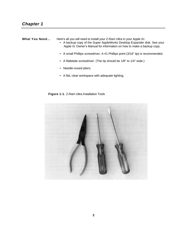<span id="page-7-0"></span>**What You Need...** Here's all you will need to install your Z-Ram Ultra in your Apple //c:

- A backup copy of the Super AppleWorks Desktop Expander disk. See your Apple //c Owner's Manual for information on how to make a backup copy.
- A small Phillips screwdriver. A #1 Phillips point (3/16" tip) is recommended.
- A flatblade screwdriver. (The tip should be 1/8" to 1/4" wide.)
- Needle-nosed pliers.
- A flat, clear workspace with adequate lighting.

 **Figure 1-1.** Z-Ram Ultra Installation Tools

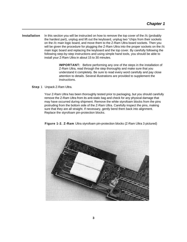<span id="page-8-0"></span>**Installation** In this section you will be instructed on how to remove the top cover of the //c (probably the hardest part), unplug and lift out the keyboard, unplug two "chips from their sockets on the //c main logic board, and move them to the Z-Ram Ultra board sockets. Then you will be given the procedure for plugging the Z-Ram Ultra into the proper sockets on the //c main logic board and replacing the keyboard and the top cover. By carefully following the following step-by-step instructions and using simple hand tools, you should be able to install your Z-Ram Ultra in about 15 to 30 minutes.

> **IMPORTANT:** Before performing any one of the steps in the installation of Z-Ram Ultra, read through the step thoroughly and make sure that you understand it completely. Be sure to read every word carefully and pay close attention to details. Several illustrations are provided to supplement the instructions.

**Step** 1 Unpack Z-Ram Ultra.

Your Z-Ram Ultra has been thoroughly tested prior to packaging, but you should carefully remove the Z-Ram Ultra from its anti-static bag and check for any physical damage that may have occurred during shipment. Remove the white styrofoam blocks from the pins protruding from the bottom side of the Z-Ram Ultra. Carefully inspect the pins, making sure that they are all straight. If necessary, gently bend them back into alignment. Replace the styrofoam pin-protection blocks.



**Figure 1-2. Z-Ram** Ultra styrofoam pin-protection blocks (Z-Ram Ultra 3 pictured)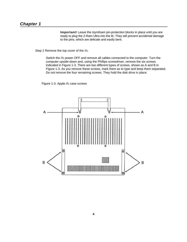**Important!** Leave the styrofoam pin-protection blocks in place until you are ready to plug the Z-Ram Ultra into the *llc.* They will prevent accidental damage to the pins, which are delicate and easily bent.

Step 2 Remove the top cover of the //c.

Switch the //c power OFF and remove all cables connected to the computer. Turn the computer upside-down and, using the Phillips screwdriver, remove the six screws indicated in Figure 1-3. There are two different types of screws, shown as A and B in Figure 1-3. As you remove these screws, mark them as to type and keep them separated. Do not remove the four remaining screws. They hold the disk drive in place.

Figure 1-3. Apple //c case screws

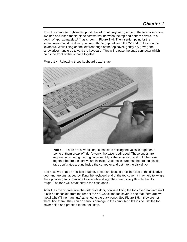Turn the computer right-side-up. Lift the left front (keyboard) edge of the top cover about 1/2 inch and insert the flatblade screwdriver between the top and bottom covers, to a depth of approximately 1/4", as shown in Figure 1 -4. The insertion point for the screwdriver should be directly in line with the gap between the "V' and 'B" keys on the keyboard. While lifting on the left front edge of the top cover, gently pry (lever) the screwdriver handle up toward the keyboard. This will release the snap connector which holds the front of the //c case together.





**Note:** There are several snap connectors holding the I/c case together. If some of them break off, don't worry; the case is still good. These snaps are required only during the original assembly of the I/c to align and hold the case together before the screws are installed. Just make sure that the broken plastic tabs don't rattle around inside the computer and get into the disk drive!

The next two snaps are a little tougher. These are located on either side of the disk drive door and are unsnapped by lifting the keyboard end of the top cover. It may help to wiggle the top cover gently from side to side while lifting. The cover is very flexible, but it's tough! The tabs will break before the case does.

After the cover is free from the disk drive door, continue lifting the top cover rearward until it can be unhooked from the rear of the //c. Check the top cover to see that there are two metal tabs (Tinnerman nuts) attached to the back panel. See Figure 1-5. If they are not there, find them! They can do serious damage to the computer if left inside. Set the top cover aside and proceed to the next step.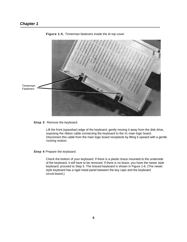

**Figure 1-5.** Tinnerman fasteners inside the *I/c* top cover

**Step 3** Remove the keyboard.

Lift the front (spacebar) edge of the keyboard, gently moving it away from the disk drive, exposing Ihe ribbon cable connecting the keyboard to the //c main logic board. Disconnect this cable from the main logic board receptacle by lifting it upward with a gentle rocking motion.

**Step 4** Prepare the keyboard.

Check the bottom of your keyboard. If there is a plastic brace mounted to the underside of the keyboard, it will have to be removed. If there is no brace, you have the newer style keyboard; proceed to Step 5. The braced keyboard is shown in Figure 1-6. (The newer style keyboard has a rigid metal panel between the key caps and the keyboard circuit-board.)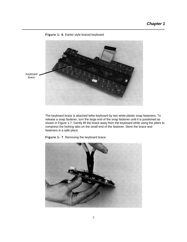

## **Figure 1- 6**. Earlier style braced keyboard

The keyboard brace is attached lathe keyboard by two white plastic snap fasteners. To release a snap fastener, turn the large end of the snap fastener until it is positioned as shown in Figure 1-7. Gently lift the brace away from the keyboard while using the pliers to compress the locking tabs on the small end of the fastener. Store the brace and fasteners in a safe place.



**Figure 1- 7**. Removing the keyboard brace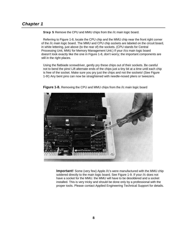**Step 5** Remove the CPU and MMU chips from the //c main logic board.

Referring to Figure 1-8, locate the CPU chip and the MMU chip near the front right corner of the //c main logic board. The MMU and CPU chip sockets are labeled on the circuit board, in white lettering, just above (to the rear of) the sockets. (CPU stands for Central Processing Unit, MMU for Memory Management Unit.) If your //cs main logic board doesn't look exactly like the one in Figure 1-8, don't worry; the important components are still in the right places.

Using the flatbiade screwdriver, gently pry these chips out of their sockets. Be careful not to bend the pins! Lift alternate ends of the chips just a tiny bit at a time until each chip is free of the socket. Make sure you pry just the chips and not the sockets! (See Figure 1-9!) Any bent pins can now be straightened with needle-nosed pliers or tweezers.



**Figure 1-8.** Removing the CPU and MMU chips from the //c main logic board

**Important!** Some (very few) Apple //c's were manufactured with the MMU chip soldered directly to the main logic board. See Figure 1-9. If your //c does not have a socket for the MMU. the MMU will have to be desoldered and a socket installed. This is very tricky and should be done only by a professional with the proper tools. Please contact Applied Engineering Technical Support for details.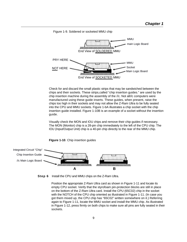

Figure 1-9. Soldered or socketed MMU chip

Check for and discard the small plastic strips that may be sandwiched between the chips and their sockets. These strips,called "chip insertion guides." are used by the chip insertion machine during the assembly of the //c. Not all//c computers were manufactured using these guide inserts. These guides, when present, raise the chips too high in their sockets and may not allow the Z-Ram Ultra to be fully seated into the CPU and MMU sockets. Figure 1-bA illustrates a chip socket with the chip insertion guide installed. Figure 1-10B is an example of a socket without the insertion guide.

Visually check the MON and IOU chips and remove their chip guides if necessary. The MON (Monitor) chip is a 28-pin chip immediately to the left of the CPU chip. The IOU (Input/Output Unit) chip is a 40-pin chip directly to the rear of the MMU chip.



**FIgure 1-10**. Chip insertion guides



Position the appropriate Z-Ram Ultra card as shown in Figure 1-11 and locate its empty CPU socket. Verify that the styrofoam pin-protection blocks are still in place on the bottom of the Z-Ram Ultra card. Install the CPU (65C02) chip in the socket with the NOTCH of the CPU chip oriented as illustrated in Figure 1-11. (In case you got them mixed up, the CPU chip has "65C02" written somewhere on it.) Referring again to Figure 1-11, locate the MMU socket and install the MMU chip. As illustrated in Figure 1-12, press firmly on both chips to make sure all pins are fully seated in their sockets.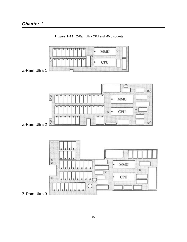

**Figure 1-11**. Z-Ram Ultra CPU and MMU sockets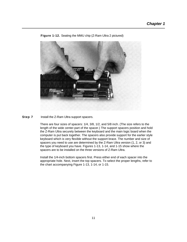

## **Figure 1-12.** Seating the MMU chip (Z-Ram Ultra 2 pictured)

**Step 7** Install the Z-Ram Ultra support spacers.

There are four sizes of spacers: 1/4, 3/8, 1/2, and 5/8 inch. (The size refers to the length of the wide center-part of the spacer.) The support spacers position and hold the Z-Ram Ultra securely between the keyboard and the main logic board when the computer is put back together. The spacers also provide support for the earlier style keyboard which is very flexible without the support brace. The number and size of spacers you need to use are determined by the Z-Ram Ultra version (1, 2, or 3) and the type of keyboard you have. Figures 1-13, 1-14, and 1-15 show where the spacers are to be installed on the three versions of Z-Ram Ultra.

Install the 1/4-inch bottom spacers first. Press either end of each spacer into the appropriate hole. Next, insert the top spacers. To select the proper lengths, refer to the chart accompanying Figure 1-13, 1-14, or 1-15.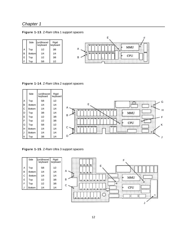# *Chapter 1*

**Figure 1-13**. Z-Ram Ultra 1 support spacers



**Figure 1-14**. Z-Ram Ultra 2 support spacers

|              | Side          | (un)Braced<br>keyboard | Rigid<br>keyboard |               |
|--------------|---------------|------------------------|-------------------|---------------|
| $\mathsf{A}$ | Top           | 5/8                    | 1/2               | G             |
| l B          | <b>Bottom</b> | 1/4                    | 1/4               | F<br>۰        |
| Iс           | <b>Bottom</b> | 1/4                    | 1/4               | Α<br>Н        |
| D            | Top           | 3/8                    | 1/4               | MMU           |
| $\mathsf E$  | Top           | 1/2                    | 3/8               | B<br>F        |
| F            | Top           | 1/2                    | 3/8               | ۰             |
| G            | Top           | 5/8                    | 1/2               | CPU<br>ъ<br>K |
| lн           | <b>Bottom</b> | 1/4                    | 1/4               | ⌒             |
| IJ           | <b>Bottom</b> | 1/4                    | 1/4               | ۰             |
| K            | Top           | 3/8                    | 1/4               | D<br>J.       |

**Figure 1-15**. Z-Ram Ultra 3 support spacers

|   | Side          | (un)Braced<br>keyboard | Rigid<br>keyboard |
|---|---------------|------------------------|-------------------|
| Α | Top           | 5/8                    | 1/2               |
| B | <b>Bottom</b> | 1/4                    | 1/4               |
| Ć | <b>Bottom</b> | 1/4                    | 1/4               |
| E | Top           | 1/2                    | 3/8               |
| F | Top           | 1/2                    | 3/8               |
| J | <b>Bottom</b> | 1/4                    | 1/4               |

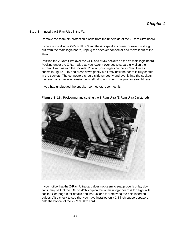**Step 8** Install the Z-Ram Ultra in the //c.

Remove the foam pin-protection blocks from the underside of the Z-Ram Ultra board.

If you are installing a Z-Ram Ultra 3 and the //cs speaker connector extends straight out from the main logic board, unplug the speaker connector and move it out of the way.

Position the Z-Ram Ultra over the CPU and MMU sockets on the //c main logic board. Peeking under the Z-Ram Ultra as you lower it over sockets, carefully align the Z-Ram Ultra pins with the sockets. Position your fingers on the Z-Ram Ultra as shown in Figure 1-16 and press down gently but firmly until the board is fully seated in the sockets. The connectors should slide smoothly and evenly into the sockets. If uneven or excessive resistance is felt, stop and check the pins for straightness.

If you had unplugged the speaker connector, reconnect it.



**Figure 1-16.** Positioning and seating the Z-Ram Ultra (Z-Ram Ultra 2 pictured)

It you notice that the Z-Ram Ultra card does not seem to seat properly or lay down flat, it may be that the IOU or MON chip on the //c main logic board is too high in its socket. See page 9 for details and instructions for removing the chip insertion guides. Also check to see that you have installed only 1/4-inch support spacers onto the bottom of the Z-Ram Ultra card.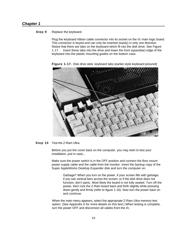## **Step 9** Replace the keyboard.

Plug the keyboard ribbon cable connector into its socket on the //c main logic board. This connector is keyed and can only be inserted (easily) in only one direction. Notice that there are tabs on the keyboard which fit into the disk drive. See Figure 1-17. Insert these tabs into the drive and lower the front (spacebar) edge of the keyboard into the plastic mounting guides on the bottom case.

**FIgure 1-17.** Disk drive slots keyboard tabs (earlier-style keyboard pictured)

## **Step 10** Test the Z-Ram Ultra.

Before you put the cover back on the computer, you may wish to test your installation, just in case...

Make sure the power switch is in the OFF position and connect the floor mount power supply cable and the cable from the monitor. Insert the backup copy of the Super AppleWorks Desktop Expander disk and turn the computer on.

> Garbage? When you turn on the power, if your screen fills with garbage; if you see vertical bars across the screen; or if the disk drive does not function, don't panic. Most likely the board is not fully seated. Turn off the power, then rock the Z-Ram board back and forth slightly while pressing down gently and firmly (refer to figure 1-16). Now turn the power back on and continue.

When the main menu appears, select the appropriate Z-Ram Ultra memory test option. (See Appendix A for more details on this test.) When testing is complete, turn the power OFF and disconnect all cables from the //c.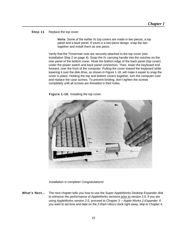**Step 11** Replace the top cover.

**Note**: Some of the earlier //c top covers are made in two pieces, a top panel and a back panel. If yours is a two-piece design, snap the two together and install them as one piece.

Verify that the Tinnerman nuts are securely attached to the top cover (see Installation Step 2 on page 4). Snap the //c carrying handle into the notches on the rear panel of the bottom cover. Hook the bottom edge of the back panel (top cover) under the power switch and back panel connectors. Then, lower the keyboard end forward, over the front of the computer. Pulling the cover toward the keyboard while lowering it over the disk drive, as shown in Figure 1-18, will make it easier to snap the cover in place. Holding the top and bottom covers together, turn the computer over and replace the case screws. To prevent binding, don't tighten the screws completely until all screws are threaded in their holes.

**Figure 1-18.** Installing the top cover



Installation is complete! Congratulations!

**What's Next...** The next chapter tells you how to use the Super AppleWorks Desktop Expander disk to enhance the performance of AppleWorks versions prior to version 2.0. If you are using AppleWorks version 2.0, proceed to Chapter 3 —*Apple Works 2 Expander.* If you want to set time and date on the Z-Ram Ultra's clock right away, skip to Chapter 4.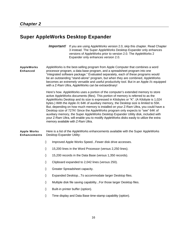# <span id="page-21-0"></span>**Super AppleWorks Desktop Expander**

- **Important!** If you are using AppleWorks version 2.0, skip this chapter. Read Chapter 3 instead. The Super AppleWorks Desktop Expander only enhances versions of AppleWorks prior to version 2.0. The AppleWorks 2 Expander only enhances version 2.0.
- **AppleWorks** AppleWorks is the best-selling program from Apple Computer that combines a word **Enhanced** processor program, a data base program, and a spreadsheet program into one "integrated software package." Evaluated separately, each of these programs would be an outstanding "stand-alone" program, but when they are combined, AppleWorks becomes an extremely versatile and useful productivity tool. But in an Apple //c equipped with a Z-Ram Ultra, AppleWorks can be extraordinary!

Here's how. AppleWorks uses a portion of the computer's extended memory to store active AppleWorks documents (files). This portion of memory is referred to as the AppleWorks Desktop and its size is expressed in Kilobytes or "K". (A Kilobyte is 1,024 bytes.) With the Apple //c 64K of auxiliary memory, the Desktop size is limited to 55K. But, depending on how much memory is installed on your Z-Ram Ultra, you could have a Desktop size of 727K! Since the AppleWorks program only expects to "see" 64K of auxiliary memory, the Super AppleWorks Desktop Expander Utility disk, included with your Z-Ram Ultra, will enable you to modify AppleWorks disks easily to utilize the extra memory available with Z-Ram Ultra.

**Apple Works** Here is a list of the AppleWorks enhancements available with the Super AppleWorks **Enhancements** Desktop Expander Utility:

Improved Apple Works Speed...Fewer disk drive accesses.

15,200 lines in the Word Processor (versus 2,250 lines).

15,200 records in the Data Base (versus 1,350 records).

Clipboard expanded to 2,042 lines (versus 250).

Greater Spreadsheet capacity.

Expanded Desktop...To accommodate larger Desktop files.

Multiple disk file saving capability...For those larger Desktop files.

Built-in printer buffer (option).

Time display and Data Base time-stamp capability (option).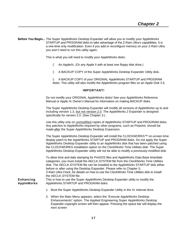<span id="page-22-0"></span>**Before You Begin...** The Super AppleWorks Desktop Expander will allow you to modify your AppleWorks STARTUP and PROGRAM disks to take advantage of the Z-Ram Ultra's capabilities. It is a one-time only modification. Even if you add or reconfigure memory on your Z-Ram Ultra you won't need to run this utility again.

This is what you will need to modify your AppleWorks disks:

An Apple//c. (Or any Apple II with at least one floppy disk drive.)

A BACKUP COPY of the Super AppleWorks Desktop Expander Utility disk.

A BACKUP COPY of your ORIGINAL AppleWorks STARTUP and PROGRAM disks. This utility will also modify the AppleWorks program files on an Apple Disk 3.5.

#### **IMPORTANT!**

Do not modify your ORIGINAL AppleWorks disks! See your AppleWorks Reference Manual or Apple //c Owner's Manual for information on making BACKUP disks.

The Super AppleWorks Desktop Expander will modify all versions of AppleWorks up to and including version 1.3, but not version 2.0. The AppleWorks 2 Expander is designed specifically for version 2.0. (See Chapter 3.)

Use this utility only on unmodified copies of AppleWorks STARTUP and PROGRAM disks. Any patches to AppleWorks required by other programs, such as Pinpoint, should be made after the Super AppleWorks Desktop Expansion.

The Super AppleWorks Desktop Expander will install the CLOCKWORKS™ on-screen time display patch to the AppleWorks STARTUP and PROGRAM disks. Do not apply the Super AppleWorks Desktop Expander utility to an AppleWorks disk that has been patched using the CLOCKWORKS installation option on the ClockWorks Time Utilities disk. The Super AppleWorks Desktop Expander utility will not be able to modify a previously-modified disk.

To allow time and date stamping for ProDOS files and AppleWorks Data Base time/date categories, you must install the AECLK.SYSTEM file from the ClockWorks Time Utilities disk. The AECLK.SYSTEM file can be installed to the AppleWorks STARTUP disk either before or after using the Desktop Expander. Please refer to Chapter 5, Z-Ram Ultra Clock, for details on how to use the ClockWorks Time Utilities disk to install the AECLK.SYSTEM file.

**Enhancing** This is how to use the Super AppleWorks Desktop Expander utility to modify the

**AppleWorks** AppleWorks STARTUP and PROGRAM disks:

1. Boot the Super AppleWorks Desktop Expander Utility in the //c internal drive.

2. When the Main Menu appears, select the "Execute AppleWorks Desktop Enhancements" option. The Applied Engineering Super AppleWorks Desktop Expander copyright screen will then appear. Pressing the space bar will display the next screen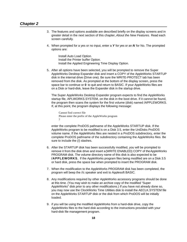- 3. The features and options available are described briefly on the display screens and in greater detail in the next section of this chapter, *About the New Features.* Read each screen carefully.
- 4. When prompted for a yes or no input, enter a *Y* for yes or an *N* for No. The prompted options are:

Install Auto Load Option. Install the Printer buffer Option. Install the Applied Engineering Time Display Option.

5. After all options have been selected, you will be prompted to remove the Super AppleWorks Desktop Expander disk and insert a COPY of the AppleWorks STARTUP disk in the internal drive (Drive one). Be sure the WRITE-PROTECT tab has been removed from the disk. As prompted at the bottom of the display screen, press the space bar to continue or **0** to quit and return to BASIC. If your AppleWorks files are on a Disk or hard-disk, leave the Expander disk in the startup drive.

The Super AppleWorks Desktop Expander program expects to find the AppleWorks startup file, APLWORKS.SYSTEM, on the disk in the boot drive. If it cannot be found, the program then scans the system for the first volume (disk) named /APPLEWORKS. If, at this point, the program displays the following message:

Cannot find correct file Please enter the prefix of the AppleWorks program ?

enter the complete ProDOS pathname of the AppleWorks STARTUP disk. If the AppleWorks program to be modified is on a Disk 3.5, enter the UniDisks ProDOS volume name. If the AppleWorks files are nested in a ProDOS subdirectory, enter the complete ProDOS pathname of the subdirectory containing the AppleWorks files. Be sure to include the (/) slashes.

- 6. After the STARTUP disk has been successfully modified, you will be prompted to remove it from the disk drive and insert a (WRITE ENABLED) COPY of the AppleWorks PROGRAM disk. The volume directory name of this disk is also expected to be **/APPLEWORKS.** If the AppleWorks program files being modified are on a Disk 3.5 or hard disk, press the space bar when prompted to insert the PROGRAM disk.
- 7. When the modification to the AppleWorks PROGRAM disk has been completed, the program will beep the //c speaker and exit to Applesoft BASIC.
- 8. Any modifications required by other AppleWorks accessory programs should be done at this time. (You may wish to make an archive copy of the modified "Super AppleWorks" disk prior to any other modifications.) If you have not already done so, you may now use the ClockWorks Time Utilities disk to install the AECLK.SYSTEM file on the AppleWorks STARTUP disk or the disk from which ProDOS will be initially loaded.
- 9. if you will be using the modified AppleWorks from a hard-disk drive, copy the AppleWorks files to the hard disk according to the instructions provided with your hard-disk file management program.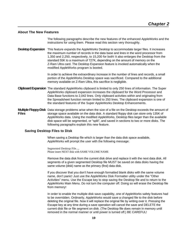## <span id="page-24-0"></span>**About The New Features**

The following paragraphs describe the new features of the enhanced AppleWorks and the instructions for using them. Please read this section very thoroughly.

**Desktop Expansion** This feature expands the AppleWorks Desktop to accommodate larger files. It increases the maximum number of records in the data base and lines in the word processor from 1,350 and 2,250, respectively, to 15,200 for both! It also enlarges the Desktop from the standard 55K to a maximum of 727K, depending on the amount of memory on the Z-Ram Ultra card. The Desktop Expansion feature is invoked automatically when the modified AppleWorks program is booted.

> In order to achieve the extraordinary increase in the number of lines and records, a small portion of the AppleWorks Desktop space was sacrificed. Compared to the additional memory available on Z-Ram Ultra, this sacrifice is negligible.

- **Clipboard Expansion** The standard AppleWorks clipboard is limited to only 250 lines of information. The Super AppleWorks clipboard expansion increases the clipboard for the Word Processor and Data Base functions to 2,042 lines. Only clipboard activities within and originating from the Spreadsheet function remain limited to 250 lines. The clipboard expansion is one of the standard features of the Super AppleWorks Desktop Enhancements.
- **Multiple Floppy-Disk** Data storage problems arise when the size of a file on the Desktop exceeds the amount of **Files** storage space available on the data disk. A standard floppy disk can store only 135K of AppleWorks data. Using the modified AppleWorks, Desktop files larger than the available disk space will be segmented, or "split", and saved in sections to two or more disks. The following paragraphs explain this new feature.

## **SavIng Desktop Files to Disk**

When saving a Desktop file which is larger than the data disk space available, AppleWorks will prompt the user with the following message:

Segmented Desktop File..., Please insert NEXT disk with SAME VOLUME NAME

Remove the data disk from the current disk drive and replace it with the next data disk. All segments of a given segmented Desktop file MUST be saved on data disks having the same volume (disk) name as the primary (first) data disk.

If you discover that you don't have enough formatted blank disks with the same volume name, don't panic! Just use the AppleWorks Disk Formatter utility under the "Other Activities" menu. Use the Escape key to stop saving the Desktop file and to return to the AppleWorks Main Menu. Do not turn the computer off. Doing so will erase the Desktop file from memory!

In order to enable the multiple disk save capability, one of AppleWorks safety features had to be overridden. Ordinarily, AppleWorks would save a changed file to the disk before deleting the original file. Now it will replace the original file by writing over it. Pressing the Escape key at any time during a save operation will cancel the save and DELETE the current disk file or file segment on disk. (The Desktop file does remain in memory until removed in the normal manner or until power is turned off.) BE CAREFUL!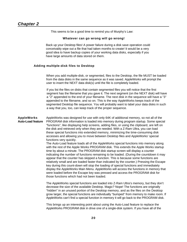This seems to be a good time to remind you of Murphy's Law:

### **Whatever can go wrong will go wrong!**

Back up your Desktop files! A power failure during a disk save operation could conceivably wipe out a file that had taken months to create! It would be a very good idea to have backup copies of your working data disks, especially if you have large amounts of data stored on them.

## **Adding multIple-disk files to Desktop**

When you add multiple-disk, or segmented, files to the Desktop, the file MUST be loaded from the data disks in the same sequence as it was saved. AppleWorks will prompt the user to insert the NEXT data disk(s) until the file is completely loaded.

If you list the files on disks that contain segmented files you will notice that the first segment has the filename that you gave it. The next segment (on the NEXT disk) will have a "2" appended to the end of your filename. The next disk in the sequence will have a "3" appended to the filename, and so on. This is the way AppleWorks keeps track of the segmented Desktop file sequence. You will probably want to label your data disks in such a way that you, too, can keep track of the proper sequence.

**AppleWorks** AppleWorks was designed for use with only 64K of additional memory, so not all of the **Auto-Load feature** PROGRAM disk information is loaded into memory during program startup. Some special "functions", like displaying help screens, adding files, or using the clipboard, are left on the disk and retrieved only when they are needed. With a Z-Ram Ultra, you can load these special functions into extended memory, minimizing the time-consuming disk accesses and allowing you to move between Desktop files and AppleWorks' special functions very quickly.

> The Auto-Load feature loads all of the AppleWorks special functions into memory along with the rest of the Apple Works PROGRAM disk. This extends the Apple Works startup time by about a minute. The PROGRAM disk startup screen will display a counter indicating the number of functions remaining to be loaded. (During the countdown it may appear that the counter has skipped a function. This is because some functions are relatively small and are loaded faster than indicated by the counter.) Pressing the Escape key during this count-down will stop the loading of special functions and immediately display the AppleWorks Main Menu. AppleWorks will access the functions in memory that were loaded before the Escape key was pressed and access the PROGRAM disk for those functions which had not been loaded.

> The AppleWorks special functions are loaded into Z-Ram Ultra's memory, but they don't decrease the size of the available Desktop. Magic? Nope! The functions are originally "hidden" in an unused portion of the Desktop memory, and as the files on the Desktop grow larger, the special functions are individually "bumped" from memory to make room. If AppleWorks can't find a special function in memory it will go back to the PROGRAM disk.

This brings up an interesting point about using the Auto-Load feature to replace the AppleWorks PROGRAM disk in drive one of a single-disk system. If you have all of the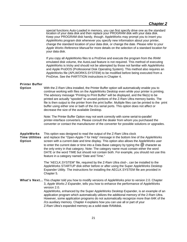<span id="page-26-0"></span>special functions Auto-Loaded in memory, you can first specify drive one as the standard location of your data disk and then replace your PROGRAM disk with your data disk. Keep your PROGRAM disk handy, though. AppleWorks may prompt you to insert you AppleWorks program disk whenever you specify new information about your printer, change the standard location of your data disk, or change the date. Please refer to your *Apple Works Reference Manual* for more details on the selection of a standard location for your data disk.

If you copy all AppleWorks files to a ProDrive and execute the program from the /RAM emulated disk volume, the AutoLoad feature is not required. This method of executing AppleWorks is tricky and should not be attempted by those not familiar with AppleWorks and Apple ProDOS (Professional Disk Operating System). This method also requires an AppleWorks file (APLWORKS.SYSTEM) to be modified before being executed from a ProDrive. See the PARTITION instructions in Chapter 4.

## **Printer Buffer**

**Option** With the Z-Ram Ultra installed, the Printer Buffer option will automatically enable you to continue working with files on the AppleWorks Desktop even while your printer is printing. The advisory message "Printing to Print Buffer" will be displayed, and the file(s) to be printed are actually "spooled" to unused portions of the Z-Ram Ultra memory banks. The file is then output to the printer from the print buffer. Multiple files can be printed to the print buffer using either one or bath of the //cs serial ports. This option does not affect or decrease the size of the available Desktop.

> Note: The Printer Buffer Option may not work correctly with some serial-to-parallel printer-interface converters. Please consult the dealer from whom you purchased the converter or contact the manufacturer of the converter for possible solutions or upgrades.

**AppleWorks** This option was designed to read the output of the Z-Ram Ultra clock

**Time UtIlities** and replace the "Open-Apple-? for Help" message in the bottom line of the AppleWorks **Option** screen with a current date and time display. This option also allows the AppleWorks user to enter the current date or time into a Data Base category by typing the *@* character as the only entry in that category. Note: The category name must contain either the word DATE or the word TIME but should not contain both. For example, you should not use this feature in a category named "Date and Time."

> The "AECLK.SYSTEM" file, required by the Z-Ram Ultra clod~, can be installed to the AppleWorks STARTUP disk either before or after using the Super AppleWorks Desktop Expander Utility. The instructions for installing the AECLK.SYSTEM file are provided in Chapter 5.

**What's Next...** This chapter told you how to modify versions of AppleWorks prior to version 2.0. Chapter 3, *Apple Works 2 Expander,* tells you how to enhance the performance of AppleWorks version 2.0.

AppleWorks, enhanced by the Super AppleWorks Desktop Expander, is an example of an application program which automatically utilizes the additional memory of the 2-Ram Ultra. However, some application programs do not automatically recognize more than 64K of the //cs auxiliary memory. Chapter 4 explains how you can use all or part of your Z-Ram Ultra's expanded memory as a solid-state RAMdisk.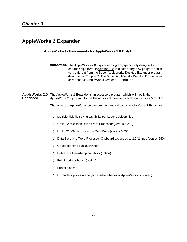## <span id="page-27-0"></span>**AppleWorks 2 Expander**

## **AppleWorks Enhancements for AppleWorks 2.0 Only!**

**Important!** The AppleWorks 2.0 Expander program, specifically designed to enhance AppleWorks version 2.0, is a completely new program and is very different from the Super AppleWorks Desktop Expander program described in Chapter 2. The Super AppleWorks Desktop Expander will only enhance AppleWorks versions 1.0 through 1.3.

**AppleWorks 2.0** The AppleWorks 2 Expander is an accessory program which will modify the **Enhanced** AppleWorks 2.0 program to use the additional memory available on your Z-Ram Ultra.

These are the AppleWorks enhancements created by the AppleWorks 2 Expander:

Multiple disk file saving capability For larger Desktop files

Up to 22,600 lines in the Word Processor (versus 7,250)

Up to 22,600 records in the Data Base (versus 6.350)

Data Base and Word Processor Clipboard expanded to 2,042 lines (versus 250)

On-screen time display (Option)

Data Base time-stamp capability (option)

Built-in printer buffer (option)

Print file cache

Expander options menu (accessible whenever AppleWorks is booted)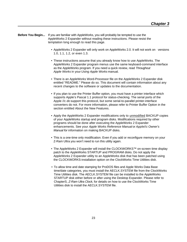<span id="page-28-0"></span>**Before You Begin...** If you *are* familiar with AppleWorks, you will probably be tempted to use the AppleWorks 2 Expander without reading these instructions. Please resist the temptation long enough to read this page.

- AppleWorks 2 Expander will only work on AppleWorks 2.0. It will not work on versions 1.0, 1.1, 1.2, or even 1.3.
- These instructions assume that you already know how to use AppleWorks. The AppleWorks 2 Expander program menus use the same keyboard-command interface as the AppleWorks program. If you need a quick review, read *Throughout Apple Works* in your *Using Apple Works* manual.
- There is an AppleWorks Word-Processor file on the AppleWorks 2 Expander disk entitled "README." Please do so. This document will contain information about any recent changes to the software or updates to the documentation.
- If you plan to use the Printer Buffer option, you must have a printer interface which supports Apple's Pascal 1.1 protocol for status-checking. The serial ports of the Apple //c *do* support this protocol, but some serial-to-parallel printer-interface converters do not. For more information, please refer to Printer Buffer Option in the section entitled About the New Features.
- Apply the AppleWorks 2 Expander modifications only to unmodified BACKUP copies of your AppleWorks startup and program disks. Modifications required by other programs should be done after executing the AppleWorks 2 Expander enhancements. See your *Apple Works Reference Manual* or *Apple*//*c Owner's Manual for* information on making BACKUP disks.
- This is a one-time only modification. Even if you add or reconfigure memory on your Z-Ram Ultra you won't need to run this utility again.
- The AppleWorks 2 Expander will install the CLOCKWORKS™ on-screen time display patch to the AppleWorks STARTUP and PROGRAM disks. Do not apply the AppleWorks 2 Expander utility to an AppleWorks disk that has been patched using the CLOCKWORKS-installation option on the ClockWorks Time Utilities disk.
- To allow time and date stamping for ProDOS files and Apple Works Data Base time/date categories, you must install the AECLK.SYSTEM file from the ClockWorks Time Utilities disk. The AECLK.SYSTEM file can be installed to the AppleWorks STARTUP disk either before or after using the Desktop Expander. Please refer to ChapterS, *Z-Ram Ultra Clock,* for details on how to use the ClockWorks Time Utilities disk to install the AECLK.SYSTEM file.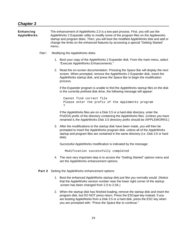<span id="page-29-0"></span>

| Enhancing  | The enhancement of AppleWorks 2.0 is a two-part process. First, you will use the       |
|------------|----------------------------------------------------------------------------------------|
| AppleWorks | AppleWorks 2 Expander utility to modify some of the program files on the Appleworks    |
|            | startup and program disks. Then, you will boot the modified AppleWorks disk and add or |
|            | change the limits on the enhanced features by accessing a special "Getting Started"    |
|            | menu.                                                                                  |

- Part I Modifying the AppleWorks disks
	- 1. Boot your copy of the AppleWorks 2 Expander disk. From the main menu, select "Execute AppleWorks Enhancements."
	- 2. Read the on-screen documentation. Pressing the Space Bar will display the next screen. When prompted, remove the AppleWorks 2 Expander disk, insert the AppleWorks startup disk, and press the Space Bar to begin the modification process.

If the Expander program is unable to find the AppleWorks startup files on the disk in the currently prefixed disk drive, the following message will appear:

Cannot find correct file Please enter the prefix of the AppleWorks program ?

If the AppleWorks files are on a Disk 3.5 or a hard-disk directory, enter the ProDOS prefix of the directory containing the AppleWorks files. (Unless you have renamed it, the AppleWorks Disk 3.5 directory prefix should be /APPLEWORKS.)

3. After the modifications to the startup disk have been made, you will then be prompted to insert the AppleWorks program disk -unless all of the AppleWorks startup and program files are contained in the same directory (i.e. Disk 3.5 or hard disk).

Successful AppleWorks modification is indicated by the message:

Modification successfully completed

- 4. The next very important step is to access the "Getting Started" options menu and set the AppleWorks enhancement options.
- **Part 2** Setting the AppleWorks enhancement options
	- 1. Boot the enhanced AppleWorks startup disk just like you normally would. (Notice that the AppleWorks version number near the lower right corner of the startup screen has been changed from 2.0 to 2.0A.)
	- 2. When the startup disk has finished loading, remove the startup disk and insert the program disk, but DO NOT press return. Press the ESCape key instead. If you are booting AppleWorks from a Disk 3.5 or a hard disk, press the ESC key when you are prompted with: "Press the Space Bar to continue."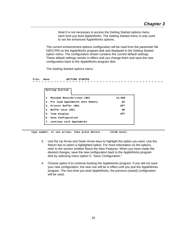Note:It is not necessary to access the Getting Started options menu each time you boot AppleWorks. The Getting Started menu is only used to set the enhanced AppleWorks options.

The current enhancement-options configuration will be read from the parameter file (SEG.PR) on the AppleWorks program disk and displayed in the Getting Started option menu. The configuration shown contains the current default settings. These default settings remain in effect until you change them and save the new configuration back to the AppleWorks program disk.

The Getting Started options menu:

 **File: None GETTING STARTED** = = = = = = = = = = = = = = = = = = = = = = = = = = = = = = = = = = = = = = = = = = =

| Getting Started                    |        |
|------------------------------------|--------|
| Maximum Records/Lines (RW)         | 12,000 |
| 2. Pre load AppleWorks onto Memory | 0n     |
| 3. Printer Buffer (RW)             | Off    |
| 4. Buffer Size (OS)                | OК     |
| 5. Time Display                    | Off    |
| 6. Save Configuration              |        |
| 7. continue with AppleWorks        |        |
|                                    |        |

 **Type number, or use arrows, then press Return 1113K Avail**

- 3. Use the Up Arrow and Down Arrow keys to highlight the option you want. Use the Return key to select a highlighted option. For more information on the options, refer to the section entitled About the New Features. When you have made the desired changes, save the new configuration back to the AppleWorks program disk by selecting menu option 5, "Save Configuration."
- 4. Choose option 6 to continue booting the Appleworks program. If you did not save your new configuration, the new one will be in effect until you quit the AppleWorks program. The next time you boot AppleWorks, the previous (saved) configuration will be used.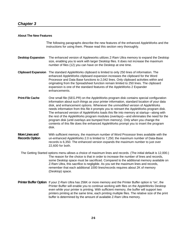## <span id="page-31-0"></span>**About The New Features**

The following paragraphs describe the new features of the enhanced AppleWorks and the instructions for using them. Please read this section very thoroughly.

- **Desktop Expansion** The enhanced version of Appleworks utilizes Z-Ram Ultra memory to expand the Desktop size, enabling you to work with larger Desktop files. It does not increase the maximum number of files (12) you can have on the Desktop at one time.
- **Clipboard Expansion** The standard AppleWorks clipboard is limited to only 250 lines of information. The enhanced AppleWorks clipboard expansion increases the clipboard for the Word Processor and Data Base functions to 2,042 lines. Only clipboard activities within and originating from the Spreadsheet function remain limited to 250 lines. The clipboard expansion is one of the standard features of the AppleWorks 2 Expander enhancements.
- **Print-File Cache** One small file (SEG.PR) on the AppleWorks program disk contains special configuration information about such things as your printer information, standard location of your data disk, and enhancement options. Whenever the *unmodified* version of AppleWorks needs information from this file it prompts you to reinsert the AppleWorks program disk. The enhanced version of AppleWorks loads this file into memory at startup—along with the rest of the AppleWorks program modules (overlays)—and eliminates the need for the program disk (until overlays are bumped from memory). Only when you change the contents of this file does the enhanced AppleWorks prompt you to insert the program disk.
- **More Lines and** With sufficient memory, the maximum number of Word Processor lines available with the **Records Option** un-enhanced AppleWorks 2.0 is limited to 7,250; the maximum number of Data-Base records is 6,350. The enhanced version expands the maximum number to just over 22,600 for both.

The Getting Started options menu allows a choice of maximum lines and records. (The initial default is 12,000.) The reason for the choice is that in order to increase the number of lines and records, some Desktop space must be sacrificed. Compared to the additional memory available on Z-Ram Ultra, this sacrifice is negligible. As you set the maximum lines and records, remember that each additional 1000 lines/records requires about 2K of memory (Desktop) space.

**Printer Buffer Option** If your Z-Ram Ultra has 256K or more memory and the Printer Buffer option is "on', the Printer Buffer will enable you to continue working with files on the AppleWorks Desktop even while your printer is printing. With sufficient memory, the buffer will support two printers printing at the same time, each printing multiple files. The relative size of the print buffer is determined by the amount of available Z-Ram Ultra memory.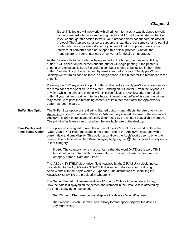|                                                     | Note: This feature will not work with all printer interfaces. It was designed to work<br>with all standard interfaces supporting the Pascal 1.1 protocol for status checking.<br>If you cannot get this option to work, your interface does not support this official<br>protocol. The Apple//c serial ports support this standard, but some serial-to-parallel<br>printer-interface converters do not. If you cannot get this option to work, your<br>interface or converter does not support this official protocol. Contact the<br>manufacturer of your printer card or converter for details on upgrades. |
|-----------------------------------------------------|---------------------------------------------------------------------------------------------------------------------------------------------------------------------------------------------------------------------------------------------------------------------------------------------------------------------------------------------------------------------------------------------------------------------------------------------------------------------------------------------------------------------------------------------------------------------------------------------------------------|
|                                                     | As the Desktop file to be printed is being loaded to the buffer, the message "Filling"<br>buffer" will appear on the screen and the printer will begin printing. if the printer is<br>printing an exceptionally large file and the computer seems to be locked in the "Filling<br>buffer" mode, it is probably caused by insufficient buffer space. The Apple Works<br>Desktop will return as soon as there is enough space in the buffer for the remainder of the<br>print file.                                                                                                                             |
|                                                     | Pressing the ESC key while the print buffer is filling will cause AppleWorks to stop sending<br>the remainder of the print file to the buffer. Sending an <sup><math>\ddot{\sigma}</math>-Control-C from the keyboard at</sup><br>any time while the printer is printing will reinitialize (clear) the AppleWorks internal print<br>buffer. If your printer or printer interface has an internal print buffer of its own, the printer<br>may continue to print the remaining contents of its buffer even after the AppleWorks<br>buffer has been cleared.                                                     |
| <b>Buffer Size Option</b>                           | The Buffer-Size option of the Getting Started option menu affects the size of only the<br>Apple IIGS' internal print buffer. When Z-RAM memory is used, the size of the enhanced<br>AppleWorks print buffer is automatically determined by the amount of available memory.<br>The print-buffer feature does not affect the available size of the desktop.                                                                                                                                                                                                                                                     |
| <b>Time Display and</b><br><b>Time-Stamp Option</b> | This option was designed to read the output of the Z-Ram Ultra clock and replace the<br>"Open-Apple-? for Help" message in the bottom line of the AppleWorks screen with a<br>current date and time display. This option also allows the AppleWorks user to enter the<br>current date or time into a Data Base category by typing the $\omega$ character as the only entry<br>in that category.                                                                                                                                                                                                               |
|                                                     | Note: The category name must contain either the word DATE or the word TIME<br>but should not contain both. For example, you should not use this feature in a<br>category named "Date and Time."                                                                                                                                                                                                                                                                                                                                                                                                               |
|                                                     | The 'AECLK.SYSTEM" clock-driver file is required by the Z-RAM Ultra clock and can<br>be installed to the AppleWorks STARTUP disk either before or after modifying<br>AppleWorks with the AppleWorks 2 Expander. The instructions for installing the<br>AECLK.SYSTEM file are provided in Chapter 5.                                                                                                                                                                                                                                                                                                           |
|                                                     | The Getting Started options menu allows 12 hour or 24 hour time and date display.<br>How the date is displayed on the screen and stamped in the Data Base is affected by<br>the time display option selected.                                                                                                                                                                                                                                                                                                                                                                                                 |
|                                                     | The 12-hour (USA format) option displays the date as Month/Day/Year.                                                                                                                                                                                                                                                                                                                                                                                                                                                                                                                                          |
|                                                     | The 24-hour (French, German, and military format) option displays the date as<br>Day/Month/Year.                                                                                                                                                                                                                                                                                                                                                                                                                                                                                                              |
|                                                     |                                                                                                                                                                                                                                                                                                                                                                                                                                                                                                                                                                                                               |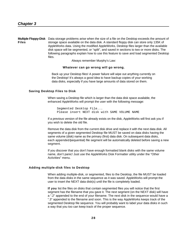**Multiple Floppy-Disk** Data storage problems arise when the size of a file on the Desktop exceeds the amount of **Files** storage space available on the data disk. A standard floppy disk can store only 135K of AppleWorks data. Using the modified AppleWorks, Desktop files larger than the available disk space will be segmented, or "split", and saved in sections to two or more disks. The following paragraphs explain how to use this feature to save and load segmented Desktop files.

Always remember Murphy's Law:

## **Whatever can go wrong will go wrong.**

Back up your Desktop files! A power failure will wipe out anything currently on the Desktop! It's always a good idea to have backup copies of your working data disks, especially if you have large amounts of data stored on them.

#### **Saving Desktop Files to Disk**

When saving a Desktop file which is larger than the data disk space available, the enhanced AppleWorks will prompt the user with the following message:

Segmented Desktop File... Please insert NEXT disk with SAME VOLUME NAME

If a previous version of the file already exists on the disk, AppleWorks will first ask you if you wish to delete the old file.

Remove the data disk from the current disk drive and replace it with the next data disk. All segments of a given segmented Desktop file MUST be saved on data disks having the same volume (disk) name as the primary (first) data disk. On subsequent data disks, each appended (sequential) file segment will be automatically deleted before saving a new segment.

If you discover that you don't have enough formatted blank disks with the same volume name, don't panic! Just use the AppleWorks Disk Formatter utility under the "Other Activities" menu.

#### **Adding multiple-disk files to Desktop**

When adding multiple-disk, or segmented, files to the Desktop, the file MUST be loaded from the data disks in the same sequence as it was saved. AppleWorks will prompt the user to insert the NEXT data disk(s) until the file is completely loaded.

**If you** list the files on disks that contain segmented files you will notice that the first segment has the filename that you gave it. The next segment (on the NEXT disk) will have a ".2" appended to the end of your filename. The next disk in the sequence would have a ".3" appended to the filename and soon. This is the way AppleWorks keeps track of the segmented Desktop file sequence. You will probably want to label your data disks in such a way that you too can keep track of the proper sequence.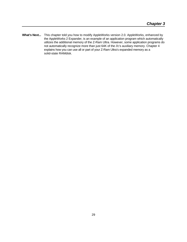<span id="page-34-0"></span>What's Next... This chapter told you how to modify AppleWorks version 2.0. AppleWorks, enhanced by the AppleWorks 2 Expander, is an example of an application program which automatically utilizes the additional memory of the Z-Ram Ultra. However, some application programs do not automatically recognize more than just 64K of the //c's auxiliary memory. Chapter 4 explains how you can use all or part of your Z-Ram Ultra's expanded memory as a solid-state RAMdisk.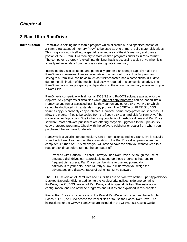## <span id="page-35-0"></span>**Z-Ram Ultra RamDrive**

**Introduction** RamDrive is nothing more than a program which allocates all or a specified portion of Z-Ram Ultra extended memory (RAM) to be used as one or more "solid-state" disk drives. This program loads itself into a special reserved area of the //c's memory and uses a portion of the Z-Ram Ultra memory to store desired programs and files in "disk format". The computer is thereby "tricked" into thinking that it is accessing a disk drive when it is actually retrieving data from memory or storing data in memory.

> Increased data access speed and potentially greater disk storage capacity make the RamDrive a convenient, low-cost alternative to a hard-disk drive. Loading from and saving to a RamDrive can be as much as 20 times faster than a conventional disk drive due to the elimination of the mechanical activity required of a conventional drive. The RamDrive data storage capacity is dependent on the amount of memory available on your Z-Ram Ultra.

> RamDrive is compatible with almost all DOS 3.3 and ProDOS software available for the Apple//c. Any programs or data files which are not copy protected can be loaded into a RamDrive and run or accessed just like they can on any other disk drive. A disk which cannot be duplicated with a standard copy program like COPYA or FILER (ProDOS volume copy) is probably copy-protected. However, some copy-protection schemes *will*  allow the program files to be copied from the floppy disk to a hard disk (or RamDrive!) but not to another floppy disk. Due to the rising popularity of hard-disk drives and RamDrive software, most software publishers are offering copyable upgrades to their previously copy-protected programs. Check with the software publisher or dealer from whom you purchased the software for details.

> RamDrive is a volatile storage medium. Since information stored in a RamDrive is actually stored in Z-Ram Ultra memory, the information in the RamDrive disappears when the computer is turned off. This means you will have to save the data you want to keep to a regular disk drive before turning the computer off.

Proceed with Caution! Be careful how you use RamDrives. Although the use of emulated disk drives can appreciably speed up those programs that require frequent disk access, RamDrives can be tricky to use and potentially hazardous to your data. Keep Murphy's Law in mind when you weigh the advantages and disadvantages of using RamDrive software.

The DOS 3.3 version of RamDrive and its utilities are on side two of the Super AppleWorks Desktop Expander disk. In addition to the AppleWorks utilities, side one contains ProDrive, the ProDOS version of RamDrive, and its special utilities. The installation, configuration, and use of these programs and utilities are explained in this chapter.

Pascal RamDrive instructions are on the Pascal RamDrive disk. You must have Apple Pascal 1.1,1.2, or 1.3 to access the Pascal files or to use the Pascal RamDrive! The instructions for the CP/AM RamDrive are included in the CP/AM 5.1 User's Guide.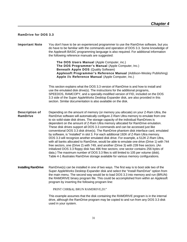## <span id="page-36-0"></span>**RamDrive for DOS 3.3**

| <b>Important Note</b>             | You don't have to be an experienced programmer to use the RamDrive software, but you<br>do have to be familiar with the commands and operation of DOS 3.3. Some knowledge of<br>the Applesoft BASIC programming language is also required. For additional information<br>the following reference manuals are suggested:                                                                                                                                                                                                                                                                                                                                                                                                                                                                                                                                                                                                                                                                                                                                                                                                                                                               |
|-----------------------------------|---------------------------------------------------------------------------------------------------------------------------------------------------------------------------------------------------------------------------------------------------------------------------------------------------------------------------------------------------------------------------------------------------------------------------------------------------------------------------------------------------------------------------------------------------------------------------------------------------------------------------------------------------------------------------------------------------------------------------------------------------------------------------------------------------------------------------------------------------------------------------------------------------------------------------------------------------------------------------------------------------------------------------------------------------------------------------------------------------------------------------------------------------------------------------------------|
|                                   | The DOS Users Manual (Apple Computer, inc.)<br>The DOS Programmer's Manual (Apple Computer, Inc.)<br><b>Beneath Apple DOS (Quality Software)</b><br>Applesoft Programmer's Reference Manual (Addison-Wesley Publishing)<br>Apple //c Reference Manual (Apple Computer, Inc.)                                                                                                                                                                                                                                                                                                                                                                                                                                                                                                                                                                                                                                                                                                                                                                                                                                                                                                          |
|                                   | This section explains what the DOS 3.3 version of RamDrive is and how to install and<br>use the emulated disk drive(s). The instructions for the additional programs,<br>SPEEDOS, RAMCOPY, and a specially-modified version of FID, included on the DOS<br>3.3 side of the Super AppleWorks Desktop Expander disk, are also provided in this<br>section. Similar documentation is also available on the disk.                                                                                                                                                                                                                                                                                                                                                                                                                                                                                                                                                                                                                                                                                                                                                                         |
| <b>Description of</b><br>RamDrive | Depending on the amount of memory (or memory you allocate) on your Z-Ram Ultra, the<br>RamDrive software will automatically configure Z-Ram Ultra memory to emulate from one<br>to six solid-state disk drives. The storage capacity of the individual RamDrives is<br>dependent on the amount of Z-Ram Ultra memory allocated for RamDrive emulation.<br>These disk drives support all DOS 3.3 commands and can be accessed just like<br>conventional DOS 3.3 disk drive(s). The RamDrive phantom disk interface card, emulated<br>by software, is "installed" in slot 3. For each additional 192K of Z-Ram Ultra memory.<br>DOS 3.3 will recognize another emulated disk drive. For example, a 512K Z-Ram Ultra,<br>with all banks allocated to RamDrive, would be able to emulate one drive (Drive 1) with 744<br>free sectors, one (Drive 2) with 749, and another (Drive 3) with 239 free sectors. (An<br>initialized DOS 3.3 floppy disk has 496 free sectors; one sector contains 256 bytes of<br>data.) The maximum number of DOS 3.3 files is still limited to 105 per volume (disk).<br>Table 4-1 illustrates RamDrive storage available for various memory configurations. |
| <b>Installing RamDrive</b>        | RamDrive(s) can be installed in one of two ways. The first way is to boot side two of the<br>Super AppleWorks Desktop Expander disk and select the "Install RamDrive" option from<br>the main menu. The second way would be to load DOS 3.3 into memory and run (BRUN)<br>the RAMDRIVE binary program file. This could be accomplished from within an Applesoft<br>program by inserting the following program line:                                                                                                                                                                                                                                                                                                                                                                                                                                                                                                                                                                                                                                                                                                                                                                   |
|                                   | PRINT CHR\$(4); BRUN RAMDRIVE, D1"                                                                                                                                                                                                                                                                                                                                                                                                                                                                                                                                                                                                                                                                                                                                                                                                                                                                                                                                                                                                                                                                                                                                                    |
|                                   | This example assumes that the disk containing the RAMDRIVE program is in the internal<br>drive, although the RamDrive program may be copied to and run from any DOS 3.3 disk                                                                                                                                                                                                                                                                                                                                                                                                                                                                                                                                                                                                                                                                                                                                                                                                                                                                                                                                                                                                          |

used in your system.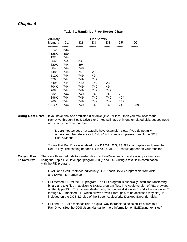## *Chapter 4*

| Auxiliary |     | ------------------- Free Sectors -- |     |     | -------------------------- |     |
|-----------|-----|-------------------------------------|-----|-----|----------------------------|-----|
| Memory    | D1  | D2                                  | D3  | D4  | D5                         | D6  |
|           |     |                                     |     |     |                            |     |
| 64K       | 234 |                                     |     |     |                            |     |
| 128K      | 489 |                                     |     |     |                            |     |
| 192K      | 744 |                                     |     |     |                            |     |
| 256K      | 744 | 239                                 |     |     |                            |     |
| 320K      | 744 | 494                                 |     |     |                            |     |
| 384K      | 744 | 749                                 |     |     |                            |     |
| 448K      | 744 | 749                                 | 239 |     |                            |     |
| 512K      | 744 | 749                                 | 494 |     |                            |     |
| 576K      | 744 | 749                                 | 749 |     |                            |     |
| 640K      | 744 | 749                                 | 749 | 239 |                            |     |
| 704K      | 744 | 749                                 | 749 | 494 |                            |     |
| 768K      | 744 | 749                                 | 749 | 749 |                            |     |
| 832K      | 744 | 749                                 | 749 | 749 | 239                        |     |
| 896K      | 744 | 749                                 | 749 | 749 | 494                        |     |
| 960K      | 744 | 749                                 | 749 | 749 | 749                        |     |
| 1024K     | 744 | 749                                 | 749 | 749 | 749                        | 239 |

## Table 4-1 **RamDrlve Free Sector Chart**

**Using Ram Drive** If you have only one emulated disk drive (192K or less), then you may access the RamDrive through Slot 3, Drive 1 or 2. You still have only one emulated disk, but you need not specify the drive number.

> **Note:** Your//c does not actually have expansion slots. If you do not fully understand the references to "slots" in this section, please consult the DOS User's Manual.

To see that RamDrive is enabled, type **CATALOG,S3,D1** in all capitals and press the Return key. The catalog header 'DISK VOLUME 001' should appear on your monitor.

**Copying Files** There are three methods to transfer files to a RamDrive: loading and saving program files; **To RamDrlve** using the Apple File Developer program (FID); and EXECuting a text file in combination with the FID program.

- LOAD and SAVE method: Individually LOAD each BASIC program file from disk and SAVE it to RamDrive.
- FID method: BRUN the FID program. The FID program is especially useful for transferring binary and text files in addition to BASIC program files. The Apple version of FID, provided on the Apple DOS 3.3 System Master disk, recognizes disk drives 1 and 2 but not drives 3 through 6. A modified FID, which allows drives 1 through 6 to be accessed (any slot), is included on the DOS 3.3 side of the Super AppleWorks Desktop Expander disk.
- FID and EXEC file method: This is a quick way to transfer a selected list of files to a RamDrive. (See the DOS Users Manual for more information on ExECuting text tiles.)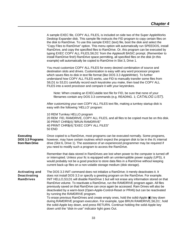|                                                           | A sample EXEC file, COPY ALL FILES, is included on side two of the Super AppleWorks<br>Desktop Expander disk. This sample file instructs the FID program to copy certain files on<br>the disk to RamDrive. To use this sample EXEC (text) file, boot the disk and select the<br>"Copy Files to RamDrive" option. This menu option wilt automatically run SPEEDOS, install<br>RamDrive, and copy the specified files to RamDrive. Or, this program can be executed by<br>typing EXEC COPY ALL FILES, S6, D1' from the Applesoft BASIC prompt. (Remember to<br>install RamDrive first!) RamDrive space permitting, all specified files on the disk (in this<br>example) will automatically be copied to RamDrive in Slot 3, Drive 1.                                                                                                                                                                                    |
|-----------------------------------------------------------|-----------------------------------------------------------------------------------------------------------------------------------------------------------------------------------------------------------------------------------------------------------------------------------------------------------------------------------------------------------------------------------------------------------------------------------------------------------------------------------------------------------------------------------------------------------------------------------------------------------------------------------------------------------------------------------------------------------------------------------------------------------------------------------------------------------------------------------------------------------------------------------------------------------------------|
|                                                           | You must customize COPY ALL FILES for every desired combination of source and<br>destination slots and drives. Customization is easy with any word processor program<br>which saves files to disk in text file format (like DOS 3.3 AppleWriter). To further<br>understand how COPY ALL FILES works, use FID to manually transfer some files from<br>S6,D1 to S3,D1 carefully record each keystroke you make, then load the COPY ALL<br>FILES into a word processor and compare it with your keystrokes.                                                                                                                                                                                                                                                                                                                                                                                                              |
|                                                           | Note: When creating an EXECutable text file for FID, be sure that none of your<br>filenames contain any DOS 3.3 commands (e.g. READING. 1; CATALOG LIST).                                                                                                                                                                                                                                                                                                                                                                                                                                                                                                                                                                                                                                                                                                                                                             |
|                                                           | After customizing your own COPY ALL FILES text file, making a turnkey startup disk is<br>easy with the following 'HELLO' program:                                                                                                                                                                                                                                                                                                                                                                                                                                                                                                                                                                                                                                                                                                                                                                                     |
|                                                           | 10 REM Turnkey HELLO program<br>20 REM FID, RAMDRIVE, COPY ALL FILES, and all files to be copied must be on this disk.<br>30 PRINT CHR\$(4);"BRUN RAMDRIVE"<br>40 PRINT CHR\$(4);"EXEC COPY ALL FILES"<br><b>50 END</b>                                                                                                                                                                                                                                                                                                                                                                                                                                                                                                                                                                                                                                                                                               |
| <b>Executing</b><br>DOS 3.3 Programs<br>from Ram Drive    | Once copied to a RamDrive, most programs can be executed normally. Some programs,<br>however, may have certain routines which expect the program disk to be in the //c internal<br>drive (Slot 6, Drive 1). The assistance of an experienced programmer may be required if<br>you need to modify such a program to access the RamDrive.                                                                                                                                                                                                                                                                                                                                                                                                                                                                                                                                                                               |
|                                                           | Remember that data stored in RamDrives are lost when power to the computer is turned off<br>or interrupted. Unless your lic is equipped with an uninterruptible power supply (UPS), it<br>would probably not be a good practice to store data files in a RamDrive without keeping<br>current back-up files on a non-volatile storage medium (disk storage).                                                                                                                                                                                                                                                                                                                                                                                                                                                                                                                                                           |
| <b>Activating and</b><br>Deactivating<br><b>RamDrives</b> | The DOS 3.3 INIT command does not initialize a RamDrive; it merely deactivates it. It<br>does not install DOS 3.3 or specify a greeting program on the RamDrive. For example.<br>INIT HELLO, S3, D1 will disable RamDrive 1 but will not erase any information stored on that<br>RamDrive volume. To reactivate a RamDrive, run the RAMDRIVE program again. All files<br>previously saved on that RamDrive can once again be accessed. Ram Drives will also be<br>deactivated by a warm-boot (Open-Apple-Control-Reset or PR#6) but can be reactivated<br>by running the RAMDRIVE program.<br>To erase previous RamDrives and create empty ones, hold the solid-Apple (a) key down<br>during RAMDRIVE program execution. For example, type BRUN RAMDRIVE, S6, D1', hold<br>the solid-Apple key down, and press RETURN. Continue holding the solid-Apple key<br>down until the "disk-in-use" indicator light goes Out. |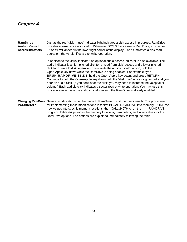**RamDrlve** Just as the red "disk-in-use" indicator light indicates a disk access in progress, RamDrive **Audio-Visual** provides a visual access indicator. Whenever DOS 3.3 accesses a RamDrive, an inverse **Access Indicators** 'R' or 'W' will appear in the lower right corner of the display. The 'R indicates a disk read operation; the W' signifies a disk write operation.

> In addition to the visual indicator, an optional audio access indicator is also available. The audio indicator is a high-pitched click for a "read from disk" access and a lower-pitched click for a "write to disk" operation. To activate the audio indicator option, hold the Open-Apple key down while the RamDrive is being enabled. For example, type **BRUN RAMDRIVE,S6,D1**, hold the Open-Apple key down, and press RETURN. Continue to hold the Open-Apple key down until the "disk use" indicator goes out and you hear an audio click. (If you don't hear the click, you may need to increase the //c speaker volume.) Each audible click indicates a sector read or write operation. You may use this procedure to activate the audio indicator even if the RamDrive is already enabled.

**ChangIng RamDrive** Several modifications can be made to RamDrive to suit the users needs. The procedure **Parameters** for implementing these modifications is to first BLOAD RAMDRIVE into memory, POKE the new values into specific memory locations, then CALL 24576 to run the RAMDRIVE program. Table 4-2 provides the memory locations, parameters, and initial values for the RamDrive options. The options are explained immediately following the table.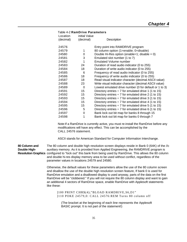|           | Table 4-2 RamDrive Parameters |                                                           |
|-----------|-------------------------------|-----------------------------------------------------------|
| Location  | initial Value                 |                                                           |
| (decimal) | (decimal)                     | Description                                               |
| 24576     |                               |                                                           |
|           |                               | Entry point into RAMDRIVE program                         |
| 24579     | 1                             | 80 column option (1=enable; 0=disable)                    |
| 24580     | 0                             | Double Hi-Res option (enable=1; disable = $0$ )           |
| 24581     | 3                             | Emulated slot number (1 to 7)                             |
| 24582     | 1                             | <b>Emulated Volume number</b>                             |
| 24583     | 24                            | Duration of read audio indicator (0 to 255)               |
| 24584     | 18                            | Duration of write audio indicator (0 to 255)              |
| 24585     | 6                             | Frequency of read audio indicator (0 to 255)              |
| 24586     | 18                            | Frequency of write audio indicator (0 to 255)             |
| 24587     | 18                            | Read visual indicator character (decimal ASCII value)     |
| 24588     | 23                            | Write visual indicator character (decimal ASCII value)    |
| 24589     | 0                             | Lowest emulated drive number (0 for default or 1 to 3)    |
| 24591     | 15                            | Directory entries $\div$ 7 for emulated drive 1 (1 to 15) |
| 24592     | 15                            | Directory entries $\div$ 7 for emulated drive 2 (1 to 15) |
| 24593     | 15                            | Directory entries $\div$ 7 for emulated drive 3 (1 to 15) |
| 24594     | 15                            | Directory entries $\div$ 7 for emulated drive 4 (1 to 15) |
| 24595     | 15                            | Directory entries $\div$ 7 for emulated drive 5 (1 to 15) |
| 24596     | 5                             | Directory entries $\div$ 7 for emulated drive 6 (1 to 15) |
| 24597     | 0                             | Bank lock out bit map for banks 8 through 15              |
| 24598     | 1                             | Bank lock out bit map for banks 0 through 7               |

Note:If a RamDrive is currently active, you must re-install the RamDrive before any modifications will have any effect. This can be accomplished by the CALL 24576 statement.

ASCII stands for American Standard for Computer Information Interchange.

**80 Column and** The 80 column and double high resolution screen displays reside in Bank 0 (64K) of the //c **Double High-** auxiliary memory. As it is provided from Applied Engineering, the RAMDRIVE program is **Resolution Graphics** configured to "lock out" this bank from being used by RamDrive. This allows the 80 column and double hi-res display memory area to be used without conflict, regardless of the parameter values in locations 24579 and 24580.

> Otherwise, the default values for these parameters allow the use of the 80 column screen and disallow the use of the double high resolution screen feature, If bank 0 is used for RamDrive emulation and a disallowed display is used anyway, parts of the data on the first RamDrive will be "clobbered." If you will not require the 80 column display and want to gain an additional 4 sectors of RamDrive space, enable RamDrive with Applesoft statements like these:

]100 PRINT CHR\$(4);"BLOAD RAMDRIVE,S6,D1" ]110 POKE 24579,0: CALL 24576:REM Turns 80 column off

(The bracket at the beginning of each line represents the Applesoft BASIC prompt. It is not part of the statement!)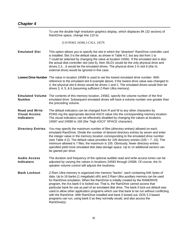# *Chapter 4*

|                                                                    | To use the double high resolution graphics display, which displaces 8K (32 sectors) of<br>RamDrive space, change line 110 to:                                                                                                                                                                                                                                                                                                                                                                                                                                                                                                                                                                                                |
|--------------------------------------------------------------------|------------------------------------------------------------------------------------------------------------------------------------------------------------------------------------------------------------------------------------------------------------------------------------------------------------------------------------------------------------------------------------------------------------------------------------------------------------------------------------------------------------------------------------------------------------------------------------------------------------------------------------------------------------------------------------------------------------------------------|
|                                                                    | ]110 POKE 24580,1:CALL 24576                                                                                                                                                                                                                                                                                                                                                                                                                                                                                                                                                                                                                                                                                                 |
| <b>Emulated Slot</b>                                               | This option allows you to specify the slot in which the "phantom" RamDrive controller card<br>is installed. Slot 3 is the default value, as shown in Table 4-2. but any slot from 1 to<br>7 could be selected by changing the value at location 24581. If the emulated slot is also<br>the actual disk-controller slot (slot 6), then S6,D1 would be the only physical drive and<br>drives 2,3,6 would be the emulated drives. The physical drive 2 in slot 6 (the //c<br>external drive) would be ignored in this case.                                                                                                                                                                                                     |
|                                                                    | Lowest Drive Number The value in location 24589 is used to set the lowest emulated drive number. With<br>reference to the emulated slot 6 example above, if the lowest drive value was changed to<br>3, the physical slot 6 drives would be drives 1 and 2. The emulated drives would then be<br>drives 3, 4, 5, & 6 (assuming sufficient Z-Ram Ultra memory).                                                                                                                                                                                                                                                                                                                                                               |
| <b>Emulated Volume</b><br><b>Number</b>                            | The contents of this memory location, 24582, specify the volume number of the first<br>emulated drive. Subsequent emulated drives will have a volume number one greater than<br>the preceding volume.                                                                                                                                                                                                                                                                                                                                                                                                                                                                                                                        |
| <b>Read and Write</b><br><b>Visual Access</b><br><b>Indicators</b> | The default indicators can be changed from R and W to any other characters by<br>POKE-ing the appropriate decimal ASCII value into the corresponding memory location.<br>The visual indicators can be effectively disabled by changing the values at locations<br>24587 and 24588 to 160 (the "high ASCII" SPACE character).                                                                                                                                                                                                                                                                                                                                                                                                 |
| <b>Directory Entries</b>                                           | You may specify the maximum number of files (directory entries) allowed on each<br>emulated RamDrive. Divide the number of desired directory entries by seven and enter<br>the integer value in the memory location corresponding to the emulated drive number<br>(see Table 4-2). The default value provides for 105 directory entries (105 $\div$ 7 = 15). The<br>minimum allowed is 7 files; the maximum is 105. Obviously, fewer directory entries<br>specified yield more emulated disk data storage space. Up to 14 additional sectors can<br>be gained per drive.                                                                                                                                                     |
| <b>Audio Access</b><br><b>Indicators</b>                           | The duration and frequency of the optional audible read and write access tones can be<br>adjusted by varying the values in locations 24583 through 24586. Of course, the //c<br>speaker volume control still adjusts the loudness.                                                                                                                                                                                                                                                                                                                                                                                                                                                                                           |
| <b>Bank Lockout</b>                                                | Z-Ram Ultra memory is organized into memory "banks", each containing 64K bytes of<br>data. Up to 16 banks (1 megabyte) of//c and Z-Ram Ultra auxiliary memory can be used<br>for RamDrive emulation. When the RamDrive is initially created by the RAMDRIVE<br>program, the //cs bank 0 is locked out. That is, the RamDrive cannot access that<br>particular bank for use as part of an emulated disk drive. The bank 0 lock-out default was<br>used to allow other application programs which use that bank to be run without conflicting<br>with the RamDrive. With RamDrive installed and bank 0 locked out, DOS 3.3 based<br>programs can run, using bank 0 as they normally would, and also access the<br>RamDrive(s). |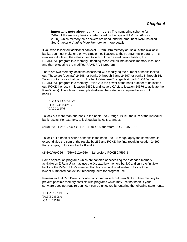**Important note about bank numbers:** The numbering scheme for Z-Ram Ultra memory banks is determined by the type of RAM chip (64K or 256K), which memory-chip sockets are used, and the amount of RAM Installed. See Chapter 6, *Adding More Memory,* for more details.

If you wish to lock out additional banks of Z-Ram Ultra memory or use all of the available banks, you must make one or two simple modifications to the RAMDRIVE program. This involves calculating the values used to lock out the desired banks, loading the RAMDRIVE program into memory. inserting those values into specific memory locations, and then executing the modified RAMDRIVE program.

There are two memory locations associated with modifying the number of banks locked out. These are (decimal) 24598 for banks 0 through 7 and 24597 for banks 8 through 15. To lock out an individual bank in the bank-0-to-bank-7 range, first load (BLOAD) the RAMDRIVE program into memory. Raise 2 to the power of the bank number to be locked out, POKE the result in location 24598, and issue a CALL to location 24576 to activate the RamDrive(s). The following example illustrates the statements required to lock out bank 1.

]BLOAD RAMDRIVE ]POKE 24598,(2^1) ]CALL 24576

To lock out more than one bank in the bank-0-to-7 range, POKE the sum of the individual bank results. For example, to lock out banks 0, 1, 2, and 3:

 $(2A0+2A1+2^{2}+2^{3}) = (1 + 2 + 4 + 8) = 15$ ; therefore POKE 24598,15

To lock out a bank or series of banks in the bank-8-to-1 5 range, apply the same formula except divide the sum of the results by 256 and POKE the final result in location 24597. For example, to lock out banks 8 and 9:

 $(2^{6} + 2^{6}) + 256 = (256 + 512) + 256 = 3$ ; therefore POKE 24597, 3

Some application programs which are capable of accessing the extended memory available on Z-Ram Ultra may use the //cs auxiliary memory bank 0 and only the first few banks of the Z-Ram Ultra's memory. For this reason, it is advisable to lock out the lowest-numbered banks first, reserving them for program use.

Remember that RamDrive is initially configured to lock out bank 0 of auxiliary memory to prevent possible memory conflicts with programs which may use that bank. If your software does not require bank 0, it can be unlocked by entering the following statements:

]BLOAD RAMDRIVE ]POKE 24598,0 ]CALL 24576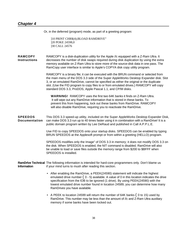## *Chapter 4*

Or, in the deferred (program) mode, as part of a greeting program:

]10 PRINT CHR\$(4);BLOAD RAMDRIVE" ]20 POKE 24598,0 ]30 CALL 24576

**RAMCOPY** RAMCOPY is a disk-duplication utility for the Apple //c equipped with a Z-Ram Ultra. It **Instructions** decreases the number of disk swaps required during disk duplication by using the extra memory available on Z-Ram Ultra to store more of the source-disk data in one pass. The RamCopy user interface is similar to Apple's COPYA disk copy utility program.

> RAMCOPY is a binary file; it can be executed with the BRUN command or selected from the main menu of the DOS 3.3 side of the Super AppleWorks Desktop Expander disk. Slot 3, or an emulated RamDrive, cannot be specified as either the original or the duplicate slot. (Use the FID program to copy files to or from emulated drives.) RAMCOPY will copy standard DOS 3.3, ProDOS, Apple Pascal 1.1, and CP/M disks.

**WARNING!** RAMCOPY uses the first two 64K banks it finds on Z-Ram Ultra. It will wipe out any RamDrive information that is stored in these banks. To prevent this from happening, lock out these banks from RamDrive. RAMCOPY will also disable RamDrive, requiring you to reactivate the RamDrive.

**SPEEDOS** This DOS 3.3 speed-up utility, included on the Super AppleWorks Desktop Expander Disk, **Documentation** can make DOS 3.3 run up to 40 times faster using it in combination with a RamDrive! It is a public domain program written by Lee DeRaud and published in Call A.P.P.L.E.

> Use FID to copy SPEEDOS onto your startup disks. SPEEDOS can be enabled by typing BRUN SPEEDOS at the Applesoft prompt or from within a greeting (HELLO) program.

SPEEDOS modifies only the Image" of DOS 3.3 in memory; it does not modify DOS 3.3 on the disk. When SPEEDOS is enabled, the NIT command is disabled. RamDrive will also be unable to load or save files outside the memory range from \$200 to \$BFFF when SPEEDOS is installed.

**RamDrlve Technical** The following information is intended for hard-core programmers only. Don't blame us **Information** if your mind turns to mush after reading this section.

- After enabling the RamDrive, a PEEK(24590) statement will indicate the highest emulated drive number  $(0 - 5)$  available. A value of 0 in this location indicates the drive specification from the lOB to be ignored (1 drive). By using PEEK(24590) with the lowest emulated drive number found in location 24589, you can determine how many RamDrives you have available.
- A PEEK to location 24599 will return the number of 64K banks ( 0 to 15) used by RamDrive. This number may be less than the amount of //c and Z-Ram Ultra auxiliary memory if some banks have been locked out.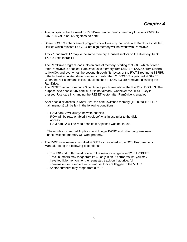- A list of specific banks used by RamDrive can be found in memory locations 24600 to 24615. A value of 255 signifies no bank.
- Some DOS 3.3 enhancement programs or utilities may not work with RamDrive installed. Utilities which relocate DOS 3.3 into high memory will not work with RamDrive.
- Track 1 and track 17 map to the same memory. Unused sectors on the directory, track 17, are used in track 1.
- The RamDrive program loads into an area of memory, starting at \$6000, which is freed after RamDrive is enabled. RamDrive uses memory from \$A581 to \$AS9D, from \$AAB8 to \$AAC0. and overwrites the second through fifth bytes of the RWTS routine at \$B7B5. If the highest emulated drive number is greater than 2. DOS 3.3 is patched at \$A9B5. When the NIT command is issued, all patches to DOS 3.3 are removed, disabling the RamDrive.
- The RESET vector from page 3 points to a patch area above the RWTS in DOS 3.3. The purpose is to enable 64K bank 0, if it is not already, whenever the RESET key is pressed. Use care in changing the RESET vector after RamDrive is enabled.
- After each disk access to RamDrive, the bank-switched memory (\$D000 to \$DFFF in main memory) will be left in the following conditions:
	- RAM bank 2 will always be write enabled.
	- ROM will be read enabled if Applesoft was in use prior to the disk access.
	- RAM bank 2 will be read enabled if Applesoft was not in use.

These rules insure that Applesoft and Integer BASIC and other programs using bank-switched memory will work properly.

- The RWTS routine may be called at \$3D9 as described in the DOS Programmer's Manual, noting the following exceptions:
	- The lOB and buffer must reside in the memory range from \$200 to \$BFFF.
	- Track numbers may range from ito 49 only. If an I/O error results, you may have too little memory for the requested track on that drive. All non-existent or reserved tracks and sectors are flagged in the VTOC.
	- Sector numbers may range from 0 to 15.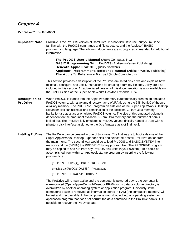## <span id="page-45-0"></span>*Chapter 4*

## **ProDrlve™ for ProDOS**

**Important Note** ProDrive is the ProDOS version of RamDrive. It is not difficult to use, but you must be familiar with the ProDOS commands and file structure, and the Applesoft BASIC programming language. The following documents are strongly recommended for additional information:

> **The ProDOS User's Manual** (Apple Computer, Inc.) **BASIC Programming With ProDOS** (Addison-Wesley Publishing) **Beneath Apple ProDOS** (Quality Software) **Applesoft Programmer's Reference Manual** (Addison-Wesley Publishing) **The Apple//c Reference Manual** (Apple Computer, Inc.)

This section provides a description of the ProDrive emulated disk drive and explains how to install, configure, and use it. Instructions for creating a turnkey file copy utility are also included in this section. An abbreviated version of this documentation is also available on the ProDOS side of the Super AppleWorks Desktop Expander Disk.

- **DescrIption of** When ProDOS is loaded into the Apple //c's memory it automatically creates an emulated **ProDrive** ProDOS volume, with a volume directory name of /RAM, using the 64K bank 0 of the //cs auxiliary memory. The PRODRIVE program on side one of the Super AppleWorks Desktop Expander disk can utilize all or a combination of the additional Z-Ram Ultra memory banks for use as a larger emulated ProDOS volume. The size of this emulated volume is dependent on the amount of available Z-Ram Ultra memory and the number of banks locked out. The ProDrive fully emulates a ProDOS volume (initially named '/RAM) with a phantom disk interface assigned to the //c's firmware as slot 3, drive 2.
- **Installing ProDrive** The ProDrive can be created in one of two ways. The first way is to boot side one of the Super AppleWorks Desktop Expander disk and select the "Install ProDrive" option from the main menu. The second way would be to load ProDOS and BASIC.SYSTEM into memory and run (BRUN) the PRODRIVE binary program file. (The PRODRIVE program may be copied to and run from any ProDOS disk used in your system.) This could be accomplished from within an Applesoft startup program by inserting the following program line:

]10 PRINT CHRS(4); "BRUN PRODRIVE

or using the ProDOS DASH (— ) command:

]10 PRINT CHR\$(4);"-PRODRIVE"

The ProDrive will remain active until the computer is powered-down, the computer is warm-booted (Open-Apple-Control-Reset or PR#6), or its data or volume directory is overwritten by another operating system or application program. Obviously, if the computer's power is removed, all information stored in RAM (the computer's memory) will be lost and irrecoverable. If the computer is warm-booted into an operating system or application program that does not corrupt the data contained in the ProDrive banks, it is possible to recover the ProDrive data.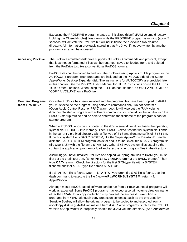Executing the PRODRIVE program creates an initialized (blank) /RAM volume directory. Holding the Closed-Apple (Key down while the PRODRIVE program is running (about 5 seconds) will activate the ProDrive but will not initialize the previous /RAM volume directory. All information previously stored in that ProDrive, if not overwritten by another program, can again be accessed.

## **Accessing ProDrive** The ProDrive emulated disk drive supports all ProDOS commands and protocol, except that it cannot be formatted. Files can be renamed, saved to, loaded from, and deleted from the ProDrive just like a conventional ProDOS volume.

ProDOS files can be copied to and from the ProDrive using Apple's FILER program or the AUTOCOPY program. Both programs are included on the ProDOS side of the Super AppleWorks Desktop Expander disk. The instructions for AUTOCOPY are provided later in this chapter. See the ProDOS User's Manual for FILER instructions or use the FILER's TUTOR menu options. When using the FILER do not use the "FORMAT A VOLUME" or "COPY A VOLUME" on a ProDrive.

## **Executing Programs** Once the ProDrive has been installed and the program files have been copied to /RAM, **from Pro Drive** you must execute the program using software commands only. Do not perform a (Open-Apple-Control-Reset or PR#6) warm-boot; it will wipe out the /RAM volume directory! To start a program with software commands, you should first be familiar with the ProDOS startup routine and be able to determine the filename of the program's boot or startup program.

When a ProDOS floppy disk is booted in the //c's internal drive, it first loads the operating system file, PRODOS, into memory. Then, ProDOS executes the first system file it finds in the currently-prefixed directory with a file type of SYS and filename suffix of .SYSTEM. If the first system file is BASIC.SYSTEM, like the Super AppleWorks Desktop Expander disk, the BASIC.SYSTEM program looks for and, if found, executes a BASIC program file (file type BAS) with the filename STARTUP. Other SYS-type system files usually either contain the application program or load and execute other program files in the directory.

Assuming you have installed ProDrive and copied your program files to tRAM, you must first set the prefix to /RAM. (Enter **PREFIX /RAM**<return> at the BASIC prompt.) Then type **CAT**<return>. Check the directory for the first SYS-type file with a SYSTEM filename suffix or a BAS-type file named STARTUP.

If a STARTUP file is found, type: **—STARTUP**<return>. If a SYS file is found, use the dash command to execute the file (i.e. **—APLWORKS.SYSTEM**<return> for AppleWorks).

Although most ProDOS-based software can be run from a ProDrive, not all programs will work as expected. Some ProDOS programs may expect a certain volume directory name other than /RAM. Disk copy-protection may prevent the successful execution of programs from /RAM, although copy-protection schemes, such as the one used by Sensible Speller, will allow the original program to be copied to and executed from a non-floppy disk (e.g. /RAM volume or a hard disk). Some programs, such as the ProDOS version of AppleWriter //, purposely disable the /RAM volume directory. (See *AppleWriter*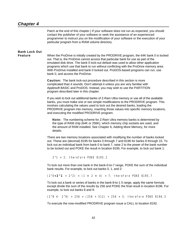## *Chapter 4*

Patch at the end of this chapter.) If your software does not run as expected, you should contact the publisher of your software or seek the assistance of an experienced programmer to instruct you on the modification of your software or the execution of your particular program from a /RAM volume directory.

# **Bank Lock Out**

**Feature** When the ProDrive is initially created by the PRODRIVE program, the 64K bank 0 is locked out. That is, the ProDrive cannot access that particular bank for use as part of the emulated disk drive. The bank 0 lock-out default was used to allow other application programs which use that bank to run without conflicting with the ProDrive memory area. With ProDrive installed and bank 0 locked out. ProDOS-based programs can run, use bank 0, and access the ProDrive.

> **Caution:** The bank lock-out procedure described in this section is more complicated than it sounds. Don't attempt it unless you are very familiar with Applesoft BASIC and ProDOS. Instead, you may wish to use the PARTITION program described later in this chapter.

If you wish to lock out additional banks of Z-Ram Ultra memory or use all of the available banks, you must make one or two simple modifications to the PRODRIVE program. This involves calculating the values used to lock out the desired banks, loading the PRODRIVE program into memory, inserting those values into specific memory locations, and executing the modified PRODRIVE program.

**Note:** The numbering scheme for Z-Ram Ultra memory banks is determined by the type of RAM chip (64K or 256K). which memory chip sockets are used, and the amount of RAM installed. See Chapter 6, Adding More Memory, for more details.

There are two memory locations associated with modifying the number of banks locked out. These are (decimal) 8195 for banks 0 through 7 and 8196 for banks 8 through 15. To lock out an individual bank from bank 0 to bank 7, raise 2 to the power of the bank number to be locked out and POKE the result in location 8195. For example, to lock out bank 1:

 $2^{\wedge}1 = 2$ ; therefore POKE 8195, 2

To lock out more than one bank in the bank-0-to-7 range, POKE the sum of the individual bank results. For example, to lock out banks 0, 1, and 2:

 $(2^0+2^1 + 2^2) = (1 + 2 + 4) = 7$ ; therefore POKE 8195, 7

To lock out a bank or series of banks in the bank-8-to-1 5 range, apply the same formula except divide the sum of the results by 256 and POKE the final result in location 8196. For example, to lock out banks 8 and 9:

 $(2^8 4 - 2^9)$  + 256 =  $(256 + 512)$  + 256 = 3; therefore POKE 8196,3

To execute the now-modified PRODRIVE program issue a CALL to location 8192.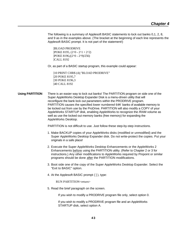<span id="page-48-0"></span>The following is a summary of Applesoft BASIC statements to lock out banks 0,1, 2, 8, and 9 as in the examples above. (The bracket at the beginning of each line represents the Applesoft BASIC prompt. It is not part of the statement!)

]BLOAD PRODRIVE  $JPOKE$  8195,  $(2^0 + 2^1 + 2^2)$ ]POKE 8196,((2^0 + 2^9)/256) ]CALL 8192

Or, as part of a BASIC startup program, this example could appear:

]10 PRINT CHR\$ (4);"BLOAD PRODRIVE" ]20 POKE 8195,7 ]30 POKE 8196,3 ]40 CALL 8192

**Using PARTITION** There is an easier way to lock out banks! The PARTITION program on side one of the Super AppleWorks Desktop Expander Disk is a menu-driven utility that will reconfigure the bank lock out parameters within the PRODRIVE program. PARTITION causes the specified *lower numbered 64K* banks of available memory to be locked out from use by the ProDrive. PARTITION will also modify a COPY of your AppleWorks STARTUP disk, enabling AppleWorks to recognize the /RAM volume as well as use the locked out memory banks (free memory) for expanding the AppleWorks Desktop.

PARTITION is not difficult to use. Just follow these step-by-step instructions.

- 1. Make BACKUP copies of your AppleWorks disks (modified or unmodified) and the Super AppleWorks Desktop Expander disk. Do not write-protect the copies. Put your originals in a safe place!
- 2. Execute the Super AppleWorks Desktop Enhancements or the AppleWorks 2 Enhancements before using the PARTITION utility. (Refer to Chapter 2 or 3 for instructions.) Any other modifications to AppleWorks required by Pinpoint or similar programs should be done after the PARTITION modifications.
- 3. Boot side one of the copy of the Super AppleWorks Desktop Expander. Select the "Exit to BASIC" option.
- 4. At the Applesoft BASIC prompt ( ] ), type:

RUN PARTITION<return>

5. Read the brief paragraph on the screen.

If you wish to modify a PRODRIVE program file only, select option 0.

If you wish to modify a PRODRIVE program file and an AppleWorks STARTUP disk, select option A.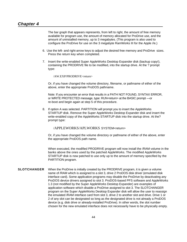<span id="page-49-0"></span>The bar graph that appears represents, from left to right, the amount of free memory available for program use, the amount of memory allocated for ProDrive use, and the amount of uninstalled memory, up to 3 megabytes. (This program is also used to configure the ProDrive for use on the 3 megabyte RamWorks III for the Apple //e.)

- 6. Use the left- and right-arrow keys to adjust the desired free memory and ProDrive sizes. Press the return key when completed.
- 7. Insert the write-enabled Super AppleWorks Desktop Expander disk (backup copy!), containing the PRODRIVE file to be modified, into the startup drive. At the ? prompt type:

/AW.EXP/PRODRIVE<return>

Or, if you have changed the volume directory, filename, or pathname of either of the above, enter the appropriate ProDOS pathname.

Note: If you encounter an error that results in a PATH NOT FOUND, SYNTAX ERROR, or WRITE PROTECTED message, type: RUN<return> at the BASIC prompt —or re-boot and begin again at step 5 of this procedure.

8. If option A was selected. PARTITION will prompt you to insert the AppleWorks STARTUP disk. Remove the Super AppleWorks Desktop Expander disk and insert the write-enabled copy of the AppleWorks STARTUP disk into the startup drive. At the? prompt type:

/APPLEWORKS/APLWORKS . SYSTEM<return>

Or, if you have changed the volume directory or pathname of either of the above, enter the appropriate ProDOS path name.

When executed, the modified PRODRIVE program will now install the /RAM volume in the banks above the ones used by the patched AppleWorks. The modified AppleWorks STARTUP disk is now patched to use only up to the amount of memory specified by the PARTITION program.

**SLOTCHANGER** When the ProDrive is initially created by the PRODRIVE program, it is given a volume name of /RAM which is assigned to a slot 3, drive 2 ProDOS disk driver (emulated disk interface card). Some application programs may disable the ProDrive by deactivating any ProDOS device drivers assigned to slot 3. ProDOS-based PFS software and AppleWorks 1.3 (not modified by the Super AppleWorks Desktop Expander) are examples of application software which disable a ProDrive assigned to slot 3. The SLOTCHANGER program on the Super AppleWorks Desktop Expander disk will allow the user to reassign the emulated /RAM interface card from slot 3, drive 2 to another slot and drive. Drive 1 or 2 of any slot can be designated so long as the designated drive is not already a ProDOS device (e.g. disk drive or already-installed ProDrive). In other words, the slot number chosen for the new emulated interface does not necessarily have to be physically empty.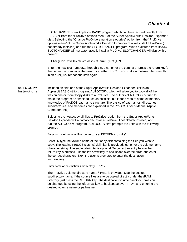<span id="page-50-0"></span>SLOTCHANGER is an Applesoft BASIC program which can be executed directly from BASIC or from the "ProDrive options menu" of the Super AppleWorks Desktop Expander disk. Selecting the "Change ProDrive emulation slot,drive" option from the "ProDrive options menu" of the Super AppleWorks Desktop Expander disk will install a ProDrive (if not already installed) and run the SLOTCHANGER program. When executed from BASIC, SLOTCHANGER will not automatically install a ProDrive. SLOTCHANGER will display this prompt:

Change ProDrive to emulate what slot~drive? (1-7),(1-2) S.

Enter the new slot number,1 through 7 (Do not enter the comma or press the return key!); then enter the number of the new drive, either 1 or 2. If you make a mistake which results in an error, just reboot and start again.

**AUTOCOPY** Included on side one of the Super AppleWorks Desktop Expander Disk is an **Instructions** Applesoft BASIC utility program, AUTOCOPY, which will allow you to copy all of the files on one or more floppy disks to a ProDrive. The authors of AUTOCOPY tried to make the program as simple to use as possible, but it does require some elementary knowledge of ProDOS pathname structure. The basics of pathnames, directories, subdirectories, and filenames are explained in the ProDOS User's Manual (Apple Computer, Inc.).

> Selecting the "Autocopy all files to ProDrive" option from the Super AppleWorks Desktop Expander will automatically install a ProDrive (if not already installed) and run the AUTOCOPY program. AUTOCOPY first prompts the user with the following prompt:

Enter no me of volume directory to copy (<RETURN> to quit)/

Carefully type the volume name of the floppy disk containing the files you wish to copy. The leading ProDOS slash (/) delimiter is provided; just enter the volume name character string. The ending delimiter is optional. To correct an entry before the return key is pressed, use the left arrow key to backspace over the error, and enter the correct characters. Next the user is prompted to enter the destination subdirectory:

Enter name of destination subdirectory /RAM /

The ProDrive volume directory name, /RAM/, is provided; type the desired subdirectory name. If the source files are to be copied directly under the /RAM directory, just press the RETURN key. The destination volume directory name can be changed by using the left-arrow key to backspace over "RAM" and entering the desired volume name or pathname.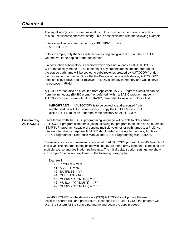## *Chapter 4*

The equal sign  $(=)$  can be used as a wildcard to substitute for the trailing characters of a source filename character string. This is best explained with the following example:

Enter name of volume directory to copy (<RETURN> to quit) /PFS.FILE/FILE=

In this example, only the files with filenames beginning with "FILE on the /PFS.FILE volume would be copied to the destination.

If a destination subdirectory is specified which does not already exist, AUTOCOPY will automatically create it. The contents of any subdirectories encountered under the source pathname will be copied to subdirectories created by AUTOCOPY under the destination pathname. Since the ProDrive is not a bootable device, AUTOCOPY does not copy ProDOS to a ProDrive; ProDOS is already in memory and would serve no purpose in /RAM.

AUTOCOPY can also be executed from Applesoft BASIC. Program execution can be from the immediate (BASIC prompt) or deferred (within a BASIC program) mode. If AUTOCOPY is to be executed from BASIC, remember to install a ProDrive first.

**IMPORTANT:** If AUTOCOPY is to be copied to and executed from another disk, it will also be necessary to copy the GET.LEN file to that disk. GETLEN must be under the same directory as AUTOCOPY.

**Custemizlng** Users familiar with the BASIC programming language will be able to alter certain **AUTOCOPY** AUTOCOPY program statements (lines), allowing the program to be used as an automatic (STARTUP) program, capable of copying multiple volumes or pathnames to a ProDrive. Users not familiar with Applesoft BASIC should refer to the Apple manuals, Applesoft BASIC Programmer's Reference Manual and BASIC Programming with ProDOS.

> The user options are conveniently contained in AUTOCOPY program lines 40 through 44, inclusive. The statements beginning with line 45 are string array elements, containing the multiple source and destination pathnames. The initial default option settings are shown in Example 1 below and explained in the following paragraphs.

 Example 1: 48 PROMPT = YES 41 ASKFILE =  $NO$ 42 EXITFILE\$ = "/? " 44 MULTIUOL = NO 45 MU\$(0) = "/? ":MU\$(0) = "/? " 46 MU\$(1) = "/? ":MU\$(1) = "/? " 47 MU\$(2) = "/? ":MU\$(2) = "/? "

Line 40 PROMPT = in the default state (YES) AUTOCOPY will prompt the user to insert the source disk and press return. If changed to PROMPT *=* NO, the program will scan the system for the source pathname and begin the copy process.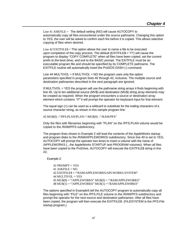Line 41 ASKFILE = The default setting (NO) will cause AUTOCOPY to automatically copy all files encountered under the source pathname. Changing this option to YES, the user will be asked to confirm each fire before it is copied. This allows selective copying of files when desired.

Line  $42$  EXITFILE\$ = This option allows the user to name a file to be executed upon completion of the copy process. The default  $(EXITFILE$ = "1?")$  will cause the program to display "COPY COMPLETE" when all files have been copied, set the current prefix to the boot drive, and exit to the BASIC prompt. The EXITFILE must be an executable program file and should be specified by its COMPLETE pathname. The EXITFILE routine will automatically insert the ProDOS DASH (-) command.

Line 44 MULTIVOL = If MULTIVOL = NO the program uses only the option parameters specified in program lines 40 through 42, inclusive. The multiple source and destination pathnames described in the next paragraph are ignored.

If MULTIVOL = YES the program will use the pathname string arrays it finds beginning with line 45. Up to ten additional source (MV\$) and destination (MU\$) string array elements may be created as required. When the program encounters a source or destination array element which contains *"I?"* it will prompt the operator for keyboard input for that element.

The equal sign (=) can be used as a wildcard to substitute for the *trailing characters* of a source character string, as shown in this sample program line:

45 MU\$(0) = "/PFS.PLAN/PLAN=":MU\$(0) = "/RAM/PFS"

Only the files with filenames beginning with "PLAN" on the /PFS.PLAN volume would be copied to the /RAM/PFS subdirectory.

The program lines shown in Example 2 will lead the contents of the AppleWorks startup and program disks to the /RAM/APPLEWORKS/ subdirectory. Since line 40 is set to YES, AUTOCOPY will prompt the operator two times to insert a volume with the name of /APPLEWORKS (...the AppleWorks STARTUP and PROGRAM volumes). When all files have been copied to the ProDrive, AUTOCOPY will execute the EXITFILE\$ string in line 42.

Example 2:

 $42$  PROMPT = YES  $41$  ASKFILE = NO 42 EXITFILE\$ = "/RAM/APPLEWORKS/APLWORKS.SYSTEM" 44 MULTIVOL = YES  $45$  MU\$ $(8)$  = "/APPLEWORKS" MU\$ $(0)$  = "/RAM/APPLEWORKS" 48 MU\$(1) = "/APPLEWORKS" MU\$(1) ="/RAM/APPLEW0RKS"

The options specified in ExampleS tell the AUTOCOPY program to automatically copy all files beginning with "FILE" on the /PFS.FILE volume to the /RAM/PFS subdirectory and prompt the operator for the next source and destination pathnames. After all files have been copied, the program will then execute the EXITFILE\$. (FILESYSTEM is the *PFS:FiIe*  startup program.)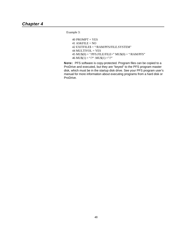Example 3:

40 PROMPT = YES  $41$  ASKFILE = NO 42 EXITFILE\$ = "/RAM/PFS/FILE.SYSTEM" 44 MULTIVOL = YES  $45$  MU\$ $(0)$  = "/PFS.FILE/FILE=" MU\$ $(0)$  = "/RAM/PFS" 46 MU\$(1) = "/?" :MU\$(1) = "/?"

**Note:** PFS software is copy-protected. Program files can be copied to a ProDrive and executed, but they are "keyed" to the PFS program master disk, which must be in the startup disk drive. See your PFS program user's manual for more information about executing programs from a hard disk or ProDrive.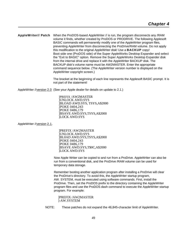<span id="page-54-0"></span>**AppleWriter// Patch** When the ProDOS-based AppleWriter // is run, the program disconnects any /RAM volume it finds, whether created by ProDOS or PRODRIVE. The following Applesoft BASIC commands will permanently modify one of the AppleWriter program files, preventing AppleWriter from disconnecting the ProDrive/RAM volume. Do not apply this modification to the original AppleWriter disk! Use a **BACKUP** copy! Boot side one (ProDOS side) of the Super AppleWorks Desktop Expander and select the "Exit to BASIC" option. Remove the Super AppleWorks Desktop Expander disk from the internal drive and replace it with the AppleWriter BACKUP disk. The BACKUP disk's volume name must be AW2MASTER. Enter the appropriate command sequence below. (The AppleWriter version number is displayed on the AppleWriter copyright screen.)

> The bracket at the beginning of each line represents the Applesoft BASIC prompt. It is not part of the statement!

AppleWriter //version 2.0 (See your Apple dealer for details on update to 2.1.)

]PREFIX /AW2MASTER ]UNLOCK AWD.SYS ]BLOAD AWD.SYS, TSYS,A\$2000 ]POKE 0404,243 ]POKE 0486,179 ]BSAVE AWD.SYS,TSYS,A\$2000 ]LOCK AWD.SYS

AppleWriter //version 2.1.

]PREFIX /AW2MASTER ]UNLOCK AWD.SYS ]BL0AD AWD.SYS,TSYS,A\$2000 ]POKE 0404,243 ]POKE 0486,179 ]BSAVE AWD.SYS,T\$0C,A\$2000 ]LOCK AWD.SYS

Now Apple Writer can be copied to and run from a ProDrive. AppleWriter can also be run from a conventional disk, and the ProDrive /RAM volume can be used for temporary data storage.

Remember booting another application program after installing a ProDrive will clear the ProDrive's directory. To avoid this, the AppleWriter startup program, AW. SYSTEM, must be executed using software commands. First, install the ProDrive. Then, set the ProDOS prefix to the directory containing the AppleWriter program files and use the ProDOS dash command to execute the AppleWriter startup program. For example:

]PREFIX /AW2MASTER ]-AW.SYSTEM

NOTE: These patches do not expand the 46,845-character limit of AppleWriter.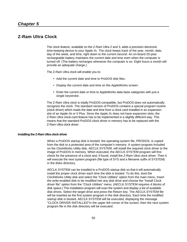## <span id="page-55-0"></span>**Z-Ram Ultra Clock**

The clock feature, available on the Z-Ram Ultra 2 and 3, adds a precision electronic time-keeping device to your Apple //c. The clock keeps track of the year, month, date, day of the week, and time, right down to the current second. An on-board 20-year rechargeable battery maintains the current date and time even when the computer is turned off. (The battery recharges whenever the computer is on. Eight hours a month will provide an adequate charge.)

The Z-Ram Ultra clock will enable you to:

- Add the current date and time to ProDOS disk files.
- Display the current date and time on the AppleWorks screen.
- Enter the current date or time to AppleWorks data base categories with just a single keystroke.

The Z-Ram Ultra clock is totally ProDOS-compatible, but ProDOS does not automatically recognize the clock. The standard version of ProDOS contains a special program routine (clock driver) which reads the date and time from a clock card installed in an expansion slot of an Apple //e or II Plus. Since the Apple //c does not have expansion slots, the Z-Ram Ultra clock-card feature has to be implemented in a slightly different way. This means that the standard ProDOS clock driver in memory has to be replaced with the Z-Ram Ultra clock driver.

### **Installing the Z-Ram Ultra clock driver**

When a ProDOS startup disk is booted, the operating-system file, PRODOS, is copied from the disk to a protected area of the computer's memory. A system program included on the ClockWorks Utility disk, AECLK.SYSTEM, will install the required clock driver to the image of ProDOS in memory. When executed, the AECLK.SYSTEM program will first check for the presence of a clock and, if found, install the Z-Ram Ultra clock driver. Then it will execute the next system program (file type of SYS and a filename suffix of SYSTEM) in the disks directory.

AECLK.SYSTEM can be installed to a ProDOS startup disk so that it will automatically install the proper clock driver each time the disk is booted. To do this, boot the ClockWorks Utility disk and select the "Clock Utilities" option from the main menu. Insert the write-enabled disk to be modified into any disk drive and choose the "Install Clock driver file" option from the "Clock Utilities" menu. (AECLK.SYSTEM requires 4 blocks of disk space.) The installation program will scan the system and display a list of available disk drives. Select the target drive and press the Return key. The AECLK.SYSTEM file will be inserted as the first system program in the disk directory. Each time the modified startup disk is booted, AECLK.SYSTEM will be executed, displaying the message "CLOCK DRIVER INSTALLED" in the upper left corner of the screen; then the next system program file in the disk directory will be executed.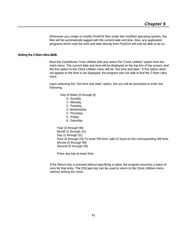Whenever you create or modify ProDOS files under the modified operating system, the files will be automatically tagged with the current date and time. Also, any application programs which read the time and date directly from ProDOS will now be able to do so.

#### <span id="page-56-0"></span>**Setting the Z-Ram Ultra clock**

Boot the ClockWorks Time Utilities disk and select the "Clock Utilities" option from the main menu. The current date and time will be displayed on the top line of the screen, and the first option in the Clock Utilities menu will be "Set time and date." If this option does not appear or the time is not displayed, the program was not able to find the Z-Ram Ultra clock.

Upon selecting the "Set time and date" option, the you will be prompted to enter the following:

Day of Week (0 through 6)

- 0 <sup>=</sup>Sunday
- 1 = Monday
- 2 <sup>=</sup>Tuesday
- 3 <sup>=</sup>Wednesday
- 4 <sup>=</sup>Thursday
- 5 <sup>=</sup>Friday
- 6 <sup>=</sup>Saturday

Year (0 through 99) Month (1 through 12) Day (1 through 31) Hour (0 through 23) To enter PM time, add 12 hours to the corresponding AM time. Minute (0 through 59) Second (0 through 59)

Press any key at exact time

If the Return key is pressed without specifying a value, the program assumes a value of zero for that entry. The ESCape key can be used to return to the Clock Utilities menu without setting the clock.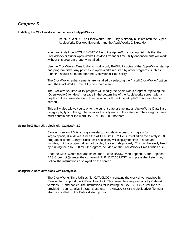## <span id="page-57-0"></span>**Installing the ClockWorks enhancements to AppleWorks**

**IMPORTANT:** The ClockWorks Time Utility is already built into both the Super AppleWorks Desktop Expander and the AppleWorks 2 Expander.

You must install the AECLK.SYSTEM file to the AppleWorks startup disk. Neither the ClockWorks or Super AppleWorks Desktop Expander time utility enhancements will work without this program properly installed.

Use the ClockWorks Time Utility to modify only BACKUP copies of the AppleWorks startup and program disks. Any patches to AppleWorks required by other programs, such as Pinpoint, should be made after the ClockWorks Time Utility.

The ClockWorks enhancements are installed by selecting the "Install ClockWorks" option from the ClockWorks Time Utility disk main menu.

The ClockWorks Time Utility program will modify the AppleWorks program, replacing the "Open-Apple-? for Help" message in the bottom line of the AppleWorks screen with a display of the current date and time. You can still use Open-Apple-? to access the help screen.

This utility also allows you to enter the current date or time into an AppleWorks Data Base category by typing the *@* character as the only entry in the category. The category name must contain either the word DATE or TIME, but not both.

#### **Using the Z-Ram Ultra clock with CataIyst™ 3.0**

Catalyst, version 3.0, is a program-selector and desk-accessory program for large-capacity disk drives. Once the AECLK.SYSTEM file is installed on the Catalyst 3.0 program disk, the Catalyst clock desk-accessory will display the time in hours and minutes, but the program does not display the seconds properly. This can be easily fixed by running the "CAT.3.0.MOD" program included on the ClockWorks Time Utilities disk.

Boot the ClockWorks disk and select the "Exit to BASIC" menu option. At the Applesoft BASIC prompt (]), enter the command "RUN CAT.30.MOD", and press the Return key. Follow the instructions displayed on the screen.

#### **Using the Z-Ram Ultra clock with Catalyst //e**

The ClockWorks Time Utilities file, CAT.CLOCK, contains the clock driver required by Catalyst lie to support the Z-Ram Ultra clock. This driver file is required only by Catalyst versions 2.1 and earlier. The instructions for installing the CAT.CLOCK driver file are provided in your Catalyst lie User's Manual. The AECLK.SYSTEM clock driver file must also be installed on the Catalyst startup disk.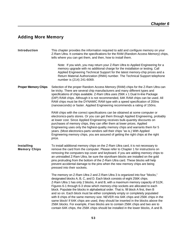# <span id="page-58-0"></span>**Adding More Memory**

| Introduction                      | This chapter provides the information required to add and configure memory on your<br>Z-Ram Ultra. It contains the specifications for the RAM (Random Access Memory) chips,<br>tells where you can get them, and then, how to install them.                                                                                                                                                                                                                                                                                                                                                                                                                                                                                                                                                                                                                     |
|-----------------------------------|-----------------------------------------------------------------------------------------------------------------------------------------------------------------------------------------------------------------------------------------------------------------------------------------------------------------------------------------------------------------------------------------------------------------------------------------------------------------------------------------------------------------------------------------------------------------------------------------------------------------------------------------------------------------------------------------------------------------------------------------------------------------------------------------------------------------------------------------------------------------|
|                                   | Note: If you wish, you may return your Z-Ram Ultra to Applied Engineering for a<br>memory upgrade with no additional charge for the installation or testing. Call<br>Applied Engineering Technical Support for the latest memory-chip prices and a<br>Return Material Authorization (RMA) number. The Technical Support telephone<br>number is (214) 241-6069.                                                                                                                                                                                                                                                                                                                                                                                                                                                                                                  |
| <b>Proper Memory Chips</b>        | Selection of the proper Random Access Memory (RAM) chips for the Z-Ram Ultra can<br>be tricky. There are several chip manufacturers and many different types and<br>specifications of chips available. Z-Ram Ultra uses 256K x 1 Dual In-line Package<br>(DIP) RAM chips. Although it is not recommended, 64K RAM chips can be used. All<br>RAM chips must be the DYNAMIC RAM type with a speed specification of 200ns<br>(nanoseconds) or faster. Applied Engineering recommends a rating of 150ns.                                                                                                                                                                                                                                                                                                                                                            |
|                                   | RAM chips with the correct specifications can be obtained at some computer or<br>electronics-parts stores. Or you can get them through Applied Engineering, probably<br>at lower cost. Since Applied Engineering receives bulk-quantity discounts on<br>purchases of memory chips, they can offer them at lower prices. Applied<br>Engineering uses only the highest-quality memory chips and warrants them for 5<br>years. (Most electronics-parts vendors sell their chips "as is.) With Applied<br>Engineering memory chips, you are assured of getting the right chips at the right<br>price.                                                                                                                                                                                                                                                               |
| Installing<br><b>Memory Chips</b> | To install additional memory chips on the Z-Ram Ultra card, it is not necessary to<br>remove the card from the computer. Please refer to Chapter 1 for instructions on<br>removing the computers top cover and keyboard. if you are adding memory chips to<br>an uninstalled Z-Ram Ultra, be sure the styrofoam blocks are installed on the gold<br>pins protruding from the bottom of the Z-Ram Ultra card. These blocks will help<br>prevent accidental damage to the pins when the new memory chips are being<br>pressed into their sockets.                                                                                                                                                                                                                                                                                                                 |
|                                   | The memory on Z-Ram Ultra 2 and Z-Ram Ultra 3 is organized into four "blocks,"<br>designated blocks A, B, C, and D. Each block consists of eight 256K chips.<br>Z-Ram Ultra 1 has only 2 blocks, A and B, with a maximum memory capacity of 512K.<br>Figures 6-1 through 6-3 show which memory-chip sockets are allocated to each<br>block. Populate the blocks in alphabetical order. That is. fill block A first, then B<br>and so on. Each block must be either completely empty or completely populated<br>with 8 chips of the same memory size. NEVER mix 64K chips and 256K chips in the<br>same block! If 64K chips are used, they should be inserted in the blocks above the<br>256K blocks. For example, if two blocks are to contain 256K chips and two are to<br>contain 64K chips, the 256K chips should be installed in the lower blocks, A and B. |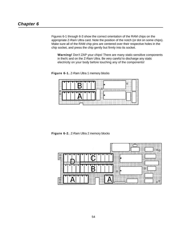Figures 6-1 through 6-3 show the correct orientation of the RAM chips on the appropriate Z-Ram Ultra card. Note the position of the notch (or dot on some chips). Make sure all of the RAM chip pins are centered over their respective holes in the chip socket, and press the chip gently but firmly into its socket.

**Warning!** Don't ZAP your chips! There are many static-sensitive components in the//c and on the Z-Ram Ultra. Be very careful to discharge any static electricity on your body before touching any of the components!

**Figure 6-1.** Z-Ram Ultra 1 memory blocks



**Figure 6-2.** Z-Ram Ultra 2 memory blocks

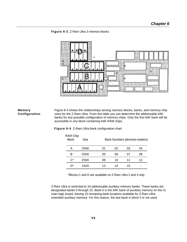<span id="page-60-0"></span>



**Memory** Figure 6-4 shows the relationships among memory blocks, banks, and memory-chip **Configuration** sizes for the Z-Ram Ultra. From this table you can determine the addressable 64K banks for any possible configuration of memory chips. Only the first 64K bank will be accessible in any block containing 64K RAM chips.

## **Figure 6-4**. Z-Ram Ultra bank configuration chart

| <b>RAM Chip</b><br><b>Block</b> | Size |    |    |    | Bank Numbers (decimal notation) |
|---------------------------------|------|----|----|----|---------------------------------|
| А                               | 256K | 01 | 02 | 03 | 04                              |
| в                               | 256K | 05 | 06 | 07 | 08                              |
| $C^*$                           | 256K | 09 | 10 | 11 | 12                              |
| ת"                              | 192K | 13 | 14 | 15 |                                 |

\*Blocks C and D are available on Z-Ram Ultra 2 and 3 only.

Z-Ram Ultra is restricted to 16 addressable auxiliary memory banks. These banks are designated banks 0 through 15. Bank 0 is the 64K bank of auxiliary memory on the //c main logic board, leaving 15 remaining bank locations available for Z-Ram Ultra extended auxiliary memory. For this reason, the last bank in block 0 is not used.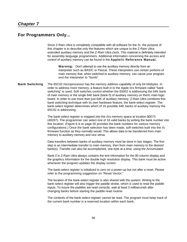## <span id="page-61-0"></span>**For Programmers Only...**

Since Z-Ram Ultra is completely compatible with all software for the //c, the purpose of this chapter is to describe only the features which are unique to the Z-Ram Ultra: extended auxiliary memory and the Z-Ram Ultra clock. This material is definitely intended for assembly language programmers. Additional information concerning the access and control of auxiliary memory can be found in the **Apple//c Reference Manual.**

**Warning:** Don't attempt to use the auxiliary memory directly from an interpreter such as BASIC or Pascal. These interpreters use certain portions of main memory that, when switched to auxiliary memory, can cause your program and the interpreter to "bomb".

**Bank Switching** The 65C02 microprocessor has the memory address capability of only 64 kilobytes. In order to address more memory, a feature built in to the Apple //cs firmware called "bank switching" is used. Soft switches control whether the 65002 is addressing the 64K bank of main memory or the single 64K bank (bank 0) of auxiliary memory on the//c main logic board. In order to use more than just 64K of auxiliary memory, Z-Ram Ultra combines this bank switching technique with its own hardware feature, the bank-select register. The bank-select register determines which of 16 possible 64K banks of auxiliary memory the 65C02 is addressing.

> The bank-select register is mapped into the //cs memory space at location \$0073 (49267). The programmer can select one of 16 valid banks by writing the bank number into this location. (Figure 6-4 on page 55 provides the bank numbers for various memory configurations.) Once the bank selection has been made, soft-switches built into the //c firmware function as they normally would. This allows data to be transferred from main memory to auxiliary memory and vice versa.

Data transfers between banks of auxiliary memory must be done in two stages. The first step is an intermediate transfer to main memory, then from main memory to the desired bank(s). Transfer can also be accomplished, one byte at a time, using the Accumulator.

Bank 0 in Z-Ram Ultra always contains the text information for the 80 column display and the graphics information for the double high resolution display. This bank must be active whenever the program updates the display screen.

The bank-select register is initialized to zero on a power-up but not after a reset. Please refer to the programming suggestion on "Reset Vector."

The location of the bank-select register is also shared with the system. Writing to the bank-select register will also trigger the paddle strobe, which is used to read the paddle inputs. To insure the paddles are read correctly, wait at least 3 milliseconds after changing banks before starting the paddle-read routine.

The contents of the bank-select register cannot be read. The program must keep track of the current bank number in a reserved location within each bank.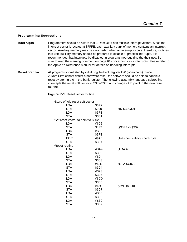## <span id="page-62-0"></span>**Programming Suggestions**

- **Interrupts** Programmers should be aware that Z-Ram Ultra has multiple interrupt vectors. Since the interrupt vector is located at \$FFFE, each auxiliary bank of memory contains an interrupt vector. Auxiliary memory may be switched-in when an interrupt occurs; therefore, routines that use auxiliary memory should be prepared to disable or process interrupts. It is recommended that interrupts be disabled in programs not requiring the their use. Be sure to read the warning comment on page 61 concerning clock interrupts. Please refer to the Apple //c Reference Manual for details on handling interrupts.
- **Reset Vector** All programs should start by initializing the bank register to 0 (video bank). Since Z-Ram Ultra cannot detect a hardware reset, the software should be able to handle a reset by storing a 0 in the bank register. The following assembly language subroutine intercepts the reset soft vector at \$3F2-\$3F3 and changes it to point to the new reset routine.

#### **Figure 7-1**. Reset vector routine

| *Store off old reset soft vector    |       |                                 |
|-------------------------------------|-------|---------------------------------|
| <b>LDA</b>                          | \$3F2 |                                 |
| <b>STA</b>                          | \$300 | ;IN \$300301                    |
| LDA                                 | \$3F3 |                                 |
| <b>STA</b>                          | \$301 |                                 |
| *Set reset vector to point to \$302 |       |                                 |
| <b>LDA</b>                          | #\$02 |                                 |
| <b>STA</b>                          | \$3F2 | $($ \$3F2 -> \$302)             |
| <b>LDA</b>                          | #\$03 |                                 |
| <b>STA</b>                          | \$3F3 |                                 |
| <b>EOR</b>                          | #\$A5 | ; Inits new validity check byte |
| <b>STA</b>                          | \$3F4 |                                 |
| *Reset routine                      |       |                                 |
| <b>LDA</b>                          | #\$A9 | ;LDA #0                         |
| <b>STA</b>                          | \$302 |                                 |
| LDA                                 | #\$0  |                                 |
| <b>STA</b>                          | \$303 |                                 |
| <b>LDA</b>                          | #\$8D | ;STA \$C073                     |
| <b>STA</b>                          | \$304 |                                 |
| LDA                                 | #\$73 |                                 |
| <b>STA</b>                          | \$305 |                                 |
| <b>LDA</b>                          | #\$C0 |                                 |
| <b>STA</b>                          | \$306 |                                 |
| <b>LDA</b>                          | #\$6C | ;JMP (\$300)                    |
| <b>STA</b>                          | \$307 |                                 |
| <b>LDA</b>                          | #\$00 |                                 |
| <b>STA</b>                          | \$308 |                                 |
| LDA                                 | #\$30 |                                 |
| <b>STA</b>                          | \$309 |                                 |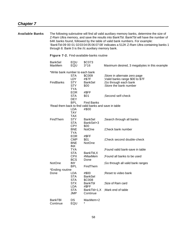| <b>Available Banks</b> |                                 |                                                      | through 8. Bank 0 is the //c auxiliary memory bank.   | The following subroutine will find all valid auxiliary memory banks, determine the size of<br>Z-Ram Ultra memory, and save the results into BankTbl. BankTbl will have the number of<br>64K banks found, followed by the table of valid bank numbers. For example:<br>'BankTbl:09 00 01 02 03 04 05 06 07 08' indicates a 512K Z-Ram Ultra containing banks 1 |
|------------------------|---------------------------------|------------------------------------------------------|-------------------------------------------------------|---------------------------------------------------------------------------------------------------------------------------------------------------------------------------------------------------------------------------------------------------------------------------------------------------------------------------------------------------------------|
|                        |                                 |                                                      | Figure 7-2. Find-available-banks routine              |                                                                                                                                                                                                                                                                                                                                                               |
|                        | <b>BankSel</b><br>MaxMem        | EQU<br>EQU                                           | \$C073<br>$3*16$                                      | Maximum desired, 3 megabytes in this example                                                                                                                                                                                                                                                                                                                  |
|                        | *Write bank number to each bank | <b>STA</b><br><b>LDY</b>                             | \$C009<br>#\$7F                                       | ;Store in alternate zero page<br>;Valid banks range \$00 to \$7F                                                                                                                                                                                                                                                                                              |
|                        | FindBanks                       | <b>STY</b><br><b>STY</b><br><b>TYA</b>               | <b>BankSel</b><br>\$00                                | ;Go through each bank<br>:Store the bank number                                                                                                                                                                                                                                                                                                               |
|                        |                                 | <b>EOR</b><br><b>STA</b><br><b>DEY</b><br><b>BPL</b> | #\$FF<br>\$01<br><b>Find Banks</b>                    | ;Second self-check                                                                                                                                                                                                                                                                                                                                            |
|                        |                                 |                                                      | 'Read them back to find valid banks and save in table |                                                                                                                                                                                                                                                                                                                                                               |
|                        |                                 | LDA<br><b>TAY</b><br><b>TAX</b>                      | #\$00                                                 |                                                                                                                                                                                                                                                                                                                                                               |
|                        | FindThem                        | <b>STY</b><br><b>STA</b><br><b>CPY</b>               | <b>BankSel</b><br>BankSel+3<br>\$00                   | ;Search through all banks                                                                                                                                                                                                                                                                                                                                     |
|                        |                                 | <b>BNE</b><br><b>TYA</b><br><b>EOR</b>               | NotOne<br>#\$FF                                       | ;Check bank number                                                                                                                                                                                                                                                                                                                                            |
|                        |                                 | <b>CMP</b><br><b>BNE</b><br><b>INX</b>               | \$01<br>NotOne                                        | ;Check second double-check                                                                                                                                                                                                                                                                                                                                    |
|                        |                                 | <b>TYA</b><br><b>STA</b><br><b>CPX</b>               | BankTbl, X<br>#MaxMem                                 | ;Found valid bank-save in table<br>;Found all banks to be used                                                                                                                                                                                                                                                                                                |
|                        | NotOne                          | <b>BCS</b><br><b>INY</b>                             | Done                                                  | ;Go through all valid bank ranges                                                                                                                                                                                                                                                                                                                             |
|                        |                                 | <b>BPL</b>                                           | FindThem                                              |                                                                                                                                                                                                                                                                                                                                                               |
|                        | *Ending routine<br>Done         | LDA<br><b>STA</b><br><b>STA</b>                      | #\$00<br><b>BankSel</b><br>\$C008                     | ;Reset to video bank                                                                                                                                                                                                                                                                                                                                          |
|                        |                                 | <b>STX</b><br><b>LDA</b>                             | <b>BankTbl</b><br>#\$FF                               | ;Size of Ram card                                                                                                                                                                                                                                                                                                                                             |
|                        |                                 | <b>STA</b><br><b>JMP</b>                             | BankTbl+1,X<br>Continue                               | ;Mark end of table                                                                                                                                                                                                                                                                                                                                            |
|                        | <b>BankTBI</b><br>Continue      | <b>DS</b><br>EQU                                     | MaxMem+2                                              |                                                                                                                                                                                                                                                                                                                                                               |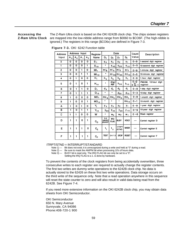<span id="page-64-0"></span>**Accessing the** The Z-Ram Ultra clock is based on the OKI 6242B clock chip. The chips sixteen registers **Z-Ram Ultra Clock** are mapped into the low-nibble address range from \$0060 to \$CO6F. (The high-nibble is ignored.) The registers in this range (\$CO6x) are defined in Figure 7-3.

| <b>Address</b> |       | Address Input  |       |       | Register                   |                               |                           | Date                  |                  | Count                     | Description                      |
|----------------|-------|----------------|-------|-------|----------------------------|-------------------------------|---------------------------|-----------------------|------------------|---------------------------|----------------------------------|
| Input          | $A_3$ | A <sub>2</sub> | $A_1$ | $A_0$ | Name                       | D <sub>3</sub>                | D <sub>2</sub>            | D1                    | Do               | Value                     |                                  |
| о              | 0     | 0              | o     | 0     | $S_1$                      | S <sub>8</sub>                | $S_4$                     | S <sub>2</sub>        | S <sub>1</sub>   | $0 - 9$                   | 1-second digit register          |
| 1              | O     | 0              | o     | 1     | $S_{10}$                   | ٠                             | $S_{40}$                  | $s_{20}$              | $s_{10}$         | $0 - 5$                   | 10-second digit register         |
| 2              | 0     | 0              | 1     | О     | $M_1$                      | m i <sub>s</sub>              | m i <sub>4</sub>          | m i <sub>2</sub>      | m i <sub>1</sub> | $0 - 9$                   | 1-minute digit register          |
| 3              | 0     | О              | 1     | 1     | $MI_{10}$                  | ۰                             | $mi_{40}$                 | $mi_{20}$             | mi <sub>10</sub> | $0 - 5$                   | 10-minute digit register         |
| 4              | 0     | 1              | О     | 0     | н,                         | $h_{8}$                       | $h_4$                     | h <sub>2</sub>        | $h_1$            | $0 - 9$                   | 1-hour digit register            |
| 5              | 0     | 1              | 0     | 1     | ${\sf H}_{\sf 10}$         | ۰                             | PM/<br>АM                 | $h_{20}$              | $h_{10}$         | $0 - 2$<br>٥ŕ<br>$0$ to 1 | PM/AM, 10-hour digit<br>register |
| 6              | O     | 1              | 1     | 0     | D,                         | $d_8$                         | d4                        | $d_2$                 | d,               | $0 - 9$                   | 1-day digit register             |
| 7              | О     | 1              | 1     | 1     | $D_{10}$                   | ٠                             | ۰                         | d <sub>20</sub>       | $d_{1.0}$        | $0 - 3$                   | 10-day digit register            |
| 8              | 1     | 0              | 0     | 0     | MO <sub>1</sub>            | mo <sub>8</sub>               | $mo_a$                    | mo <sub>2</sub>       | mo <sub>1</sub>  | $0 - 9$                   | 1-month digit register           |
| 9              | 1     | 0              | 0     | 1     | $MO_{1.0}$                 | ٠                             | ٠                         | ٠                     | mo <sub>10</sub> | $0 - 1$                   | 10-month digit register          |
| A              | 1     | O              | 1     | 0     | Y,                         | Ув                            | У4                        | У2                    | У1               | $0 - 9$                   | 1-year digit register            |
| в              | 1     | O              | 1     | 1     | $Y_{10}$                   | <b>Y</b> 80                   | $y_{40}$                  | У20                   | <b>y</b> 10      | $0 - 9$                   | 10-year digit register           |
| с              | 1     | 1              | o     | 0     | w                          | ۰                             | W <sub>4</sub>            | W <sub>2</sub>        | W <sub>1</sub>   | $0 - 6$                   | Week register                    |
| D              | 1     | 1              | 0     | 1     | $\mathtt{c}_\mathtt{D}$    | 30<br>second<br><b>ADJUST</b> | <b>IRQ</b><br><b>FLAG</b> | <b>BUSY</b>           | <b>HOLD</b>      |                           | Control register D               |
| E              | 1     | 1              | 1     | 0     | $\mathrm{c_{\varepsilon}}$ | t,                            | $t_{\circ}$               | <b>ITRPT</b><br>/STND | <b>MASK</b>      |                           | Control register E               |
| F              | 1     | 1              |       | 1     | $\mathtt{C_F}$             | <b>TEST</b>                   | 24/12                     | <b>STOP</b>           | <b>RESET</b>     |                           | Control register F               |

**Figure 7-3.** OKI 6242 Function table

### ITRPT/STND = INTERRUPT/STANDARD

Note 1) — Bit does not exist; it is unrecognized during a write and held at "0" during a read.

Note 2) — Be sure to mask the AM/PM bit when processing 10's of hours data.

Note 3) — BUSY bit is read only. The IRQ FLAG bit can only be set to a "0".

Setting the IRQ FLAG to a 1. is done by hardware.

To prevent the contents of the clock registers from being accidentally overwritten, three conseculive writes to each register are required to actually change the register contents. The first two writes are dummy write operations to the 6242B clock chip. No data is actually stored to the 62426 on these first two write operations. Data storage occurs on the third write of the sequence only. Note that a read operation anywhere in this sequence will reset the state counter to zero and will also result in valid data being read from the 6242B. See Figure 7-4.

If you need more extensive information on the OKI 6242B clock chip, you may obtain data sheets from OKI Semiconductor.

OKI Semiconductor 650 N. Mary Avenue Sunnyvale, CA 94086 Phone:408-720-1 900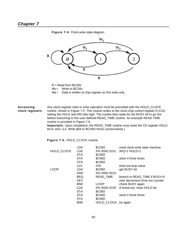

## **Figure 7-4.** Clock-write state diagram

R = Read from \$CO6x W<sub>x</sub> = Write to \$CO6x W<sub>3</sub> = Data is written to chip register on this write only

**Accessing** Any clock-register read or write operation must be preceded with the HOLD\_CLOCK **clock registers** routine, shown in Figure 7-5. This routine writes to the clock-chip control register D (CD), setting the HOLD and IRO bits high. The routine then waits for the BUSY bit to go low before branching to the user-defined READ\_TIME routine. An example READ TIME routine is provided in Figure 7-6.

**Important:** Upon completion, the READ\_TIME routine must reset the CD register HOLD bit to zero. (i.e. Write \$04 to \$CO6D thrice consecutively.)

**Figure 7-5.** HOLD\_CLOCK routine

|             | LDA        | \$C060                | reset clock-write stale machine |
|-------------|------------|-----------------------|---------------------------------|
| HOLD CLOCK  | LDA        | #% 0000 0101          | $ RQ=1$ HOLD=1                  |
|             | <b>STA</b> | \$C06D                |                                 |
|             | <b>STA</b> | \$C06D                | store it three times            |
|             | <b>STA</b> | \$C06D                |                                 |
|             | LDY        | #30                   | time-out loop value;            |
| <b>LOOP</b> | LDA        | \$C06D                | :get BUSY bit                   |
|             | AND        | #% 0000 0010          |                                 |
|             | <b>BEQ</b> | READ TIME             | ;branch to READ_TIME if BUSY=0  |
|             | <b>DEY</b> |                       | else decrement time-out counter |
|             | <b>BNE</b> | <b>LOOP</b>           | ;check BUSY again               |
|             | LDA        | #% 0000 0100          | ; if timed-out, reset HOLD bit  |
|             | <b>STA</b> | \$C06D                |                                 |
|             | <b>STA</b> | \$C06D                | store it three times            |
|             | <b>STA</b> | \$C06D                |                                 |
|             | <b>BNE</b> | HOLD CLOCK ;try again |                                 |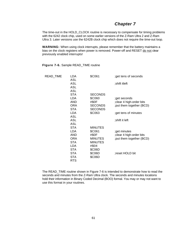## *Chapter 7*

The time-out in the HOLD CLOCK routine is necessary to compensate for timing problems with the 6242 clock chip, used on some earlier versions of the Z-Ram Ultra 2 and Z-Ram Ultra 3. Later versions use the 6242B clock chip which does not require the time-out loop.

**WARNING:** When using clock interrupts, please remember that the battery maintains a bias on the clock registers when power is removed. Power-off and RESET do not clear previously enabled interrupts!

| READ_TIME | LDA        | \$C061         | ;get tens of seconds      |
|-----------|------------|----------------|---------------------------|
|           | ASL        |                |                           |
|           | ASL        |                | ;shift itleft             |
|           | ASL        |                |                           |
|           | ASL        |                |                           |
|           | <b>STA</b> | <b>SECONDS</b> |                           |
|           | LDA        | \$C060         | ;get seconds              |
|           | AND        | #\$0F          | ; clear 4 high-order bits |
|           | ORA        | <b>SECONDS</b> | ; put them together (BCD) |
|           | <b>STA</b> | <b>SECONDS</b> |                           |
|           | LDA        | \$C063         | ;get tens of minutes      |
|           | ASL        |                |                           |
|           | ASL        |                | ;shift it left            |
|           | ASL        |                |                           |
|           | STA        | <b>MINUTES</b> |                           |
|           | <b>LDA</b> | \$C061         | ;get minutes              |
|           | AND        | #\$0F          | ; clear 4 high-order bits |
|           | ORA        | <b>MINUTES</b> | put them together (BCD);  |
|           | <b>STA</b> | <b>MINUTES</b> |                           |
|           | LDA        | #\$04          |                           |
|           | <b>STA</b> | \$C06D         |                           |
|           | <b>STA</b> | \$C06D         | reset HOLD bit            |
|           | <b>STA</b> | \$C06D         |                           |
|           | <b>RTS</b> |                |                           |

**FIgure 7-6.** Sample READ\_TIME routine

The READ\_TIME routine shown in Figure 7-6 is intended to demonstrate how to read the seconds and minutes from the Z-Ram Ultra clock. The seconds and minutes locations hold their information in Binary Coded Decimal (BOO) formal. You may or may not want to use this format in your routines.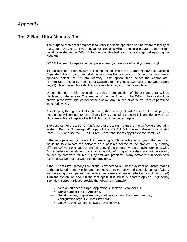## <span id="page-67-0"></span>**The Z-Ram Ultra Memory Test**

The purpase of this test program is to verify the basic operation and hardware reliability of the Z-Ram Ultra card. If you encounter problems when running a program that you feel could be related to the Z-Ram Ultra memory, this test is a good first step in diagnosing the problem.

DO NOT attempt to repair your computer unless you are sure of what you are doing!

To run this test program, turn the computer off, insert the "Super AppleWorks Desktop Expander" disk in your internal drive, and turn the computer on. When the main menu appears, select the "Z-Ram Memory Test" option; then select the appropriate "Z-Ram Ultra" option from the list of available memory tests. Depressing the Open Apple  $key$  ( $\Rightarrow$ ) while making this selection will execute a longer, more thorough test.

During the test, a high resolution graphic representation of the Z-Ram Ultra will be displayed on the screen. The amount of memory found on the Z-Ram Ultra card will be shown in the lower right corner of the display. Any unused or defective RAM chips will be indicated by "XX."

After looping through the test eight times, the message "Card Passed" will be displayed, but the test will continue to run until any key is pressed. If the card fails and defective RAM chips are indicated, replace the RAM chips and run the test again.

The best test for the Z-80 (CP/M) feature of the Z-Ram Ultra 3 is the CF/AM 5.1 operating system. Boot a "known-good" copy of the CP/AM 5.1 System Master disk, install RAMDRIVE, and use the **"PIP C:=A:\*"** command line to copy files to the RamDrive.

If the tests pass and you are still experiencing problems with your program, the next step would be to eliminate the software as a possible source of the problem. Try running different software packages or another copy of the program you are having problems with. Our experience has shown that a large malority of "program crashes" are not necessarily caused by hardware failures but by software problems. Many software publishers offer technical support for software related problems.

If the Z-Ram Ultra Memory Test or the CP/M test fails, turn the system off, insure that all of the socketed memory chips and connectors are correctly and securely seated. (Often, just reseating the chips and connectors has a magical healing effect on a sick computer!) Turn the system on and run the test again. If it still fails, contact Applied Engineering Technical Support. Please provide the following information:

- —> Version number of Super AppleWorks Desktop Expander disk.
- —> Serial number of your Apple //c.
- —> Serial number, original memory configuration, and the current memory configuration of your Z-Ram Ultra card.
- —> Software package and software revision level.